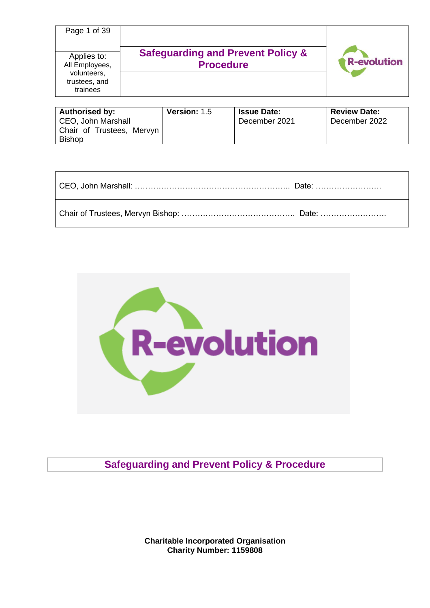| Page 1 of 39                                                              |                                                                  |                    |
|---------------------------------------------------------------------------|------------------------------------------------------------------|--------------------|
| Applies to:<br>All Employees,<br>volunteers,<br>trustees, and<br>trainees | <b>Safeguarding and Prevent Policy &amp;</b><br><b>Procedure</b> | <b>R-evolution</b> |

| <b>Authorised by:</b>     | <b>Version: 1.5</b> | <b>Issue Date:</b> | <b>Review Date:</b> |
|---------------------------|---------------------|--------------------|---------------------|
| CEO, John Marshall        |                     | December 2021      | December 2022       |
| Chair of Trustees, Mervyn |                     |                    |                     |
| <b>Bishop</b>             |                     |                    |                     |

| CEO, John Marshall: ……………………………………………………… Date: …………………… |  |
|----------------------------------------------------------|--|
|                                                          |  |



**Safeguarding and Prevent Policy & Procedure**

**Charitable Incorporated Organisation Charity Number: 1159808**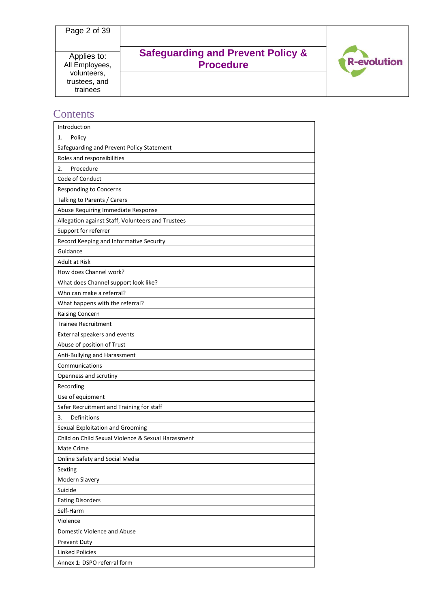# **Safeguarding and Prevent Policy & Procedure**



# **Contents**

| Introduction                                       |
|----------------------------------------------------|
| Policy<br>1.                                       |
| Safeguarding and Prevent Policy Statement          |
| Roles and responsibilities                         |
| Procedure<br>2.                                    |
| Code of Conduct                                    |
| Responding to Concerns                             |
| Talking to Parents / Carers                        |
| Abuse Requiring Immediate Response                 |
| Allegation against Staff, Volunteers and Trustees  |
| Support for referrer                               |
| Record Keeping and Informative Security            |
| Guidance                                           |
| <b>Adult at Risk</b>                               |
| How does Channel work?                             |
| What does Channel support look like?               |
| Who can make a referral?                           |
| What happens with the referral?                    |
| <b>Raising Concern</b>                             |
| <b>Trainee Recruitment</b>                         |
| External speakers and events                       |
| Abuse of position of Trust                         |
| Anti-Bullying and Harassment                       |
| Communications                                     |
| Openness and scrutiny                              |
| Recording                                          |
| Use of equipment                                   |
| Safer Recruitment and Training for staff           |
| Definitions<br>3.                                  |
| Sexual Exploitation and Grooming                   |
| Child on Child Sexual Violence & Sexual Harassment |
| Mate Crime                                         |
| Online Safety and Social Media                     |
| Sexting                                            |
| Modern Slavery                                     |
| Suicide                                            |
| <b>Eating Disorders</b>                            |
| Self-Harm                                          |
| Violence                                           |
| Domestic Violence and Abuse                        |
| Prevent Duty                                       |
| <b>Linked Policies</b>                             |
| Annex 1: DSPO referral form                        |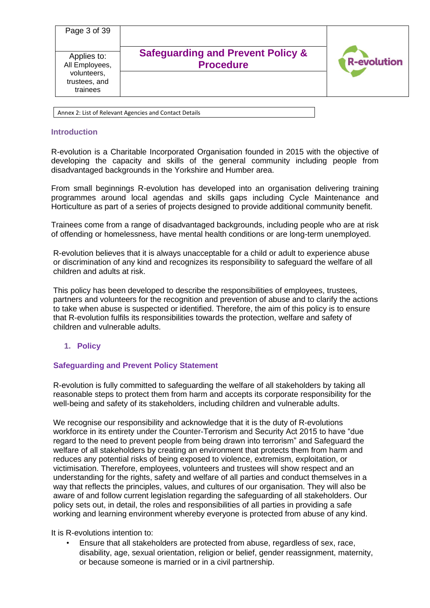| Page 3 of 39<br>Applies to:<br>All Employees,<br>volunteers, | <b>Safeguarding and Prevent Policy &amp;</b><br><b>Procedure</b> | <b>R-evolution</b> |
|--------------------------------------------------------------|------------------------------------------------------------------|--------------------|
| trustees, and<br>trainees                                    |                                                                  |                    |
|                                                              |                                                                  |                    |

#### Annex 2: List of Relevant Agencies and Contact Details

### **Introduction**

R-evolution is a Charitable Incorporated Organisation founded in 2015 with the objective of developing the capacity and skills of the general community including people from disadvantaged backgrounds in the Yorkshire and Humber area.

From small beginnings R-evolution has developed into an organisation delivering training programmes around local agendas and skills gaps including Cycle Maintenance and Horticulture as part of a series of projects designed to provide additional community benefit.

Trainees come from a range of disadvantaged backgrounds, including people who are at risk of offending or homelessness, have mental health conditions or are long-term unemployed.

R-evolution believes that it is always unacceptable for a child or adult to experience abuse or discrimination of any kind and recognizes its responsibility to safeguard the welfare of all children and adults at risk.

This policy has been developed to describe the responsibilities of employees, trustees, partners and volunteers for the recognition and prevention of abuse and to clarify the actions to take when abuse is suspected or identified. Therefore, the aim of this policy is to ensure that R-evolution fulfils its responsibilities towards the protection, welfare and safety of children and vulnerable adults.

## **1. Policy**

## **Safeguarding and Prevent Policy Statement**

R-evolution is fully committed to safeguarding the welfare of all stakeholders by taking all reasonable steps to protect them from harm and accepts its corporate responsibility for the well-being and safety of its stakeholders, including children and vulnerable adults.

We recognise our responsibility and acknowledge that it is the duty of R-evolutions workforce in its entirety under the Counter-Terrorism and Security Act 2015 to have "due regard to the need to prevent people from being drawn into terrorism" and Safeguard the welfare of all stakeholders by creating an environment that protects them from harm and reduces any potential risks of being exposed to violence, extremism, exploitation, or victimisation. Therefore, employees, volunteers and trustees will show respect and an understanding for the rights, safety and welfare of all parties and conduct themselves in a way that reflects the principles, values, and cultures of our organisation. They will also be aware of and follow current legislation regarding the safeguarding of all stakeholders. Our policy sets out, in detail, the roles and responsibilities of all parties in providing a safe working and learning environment whereby everyone is protected from abuse of any kind.

It is R-evolutions intention to:

• Ensure that all stakeholders are protected from abuse, regardless of sex, race, disability, age, sexual orientation, religion or belief, gender reassignment, maternity, or because someone is married or in a civil partnership.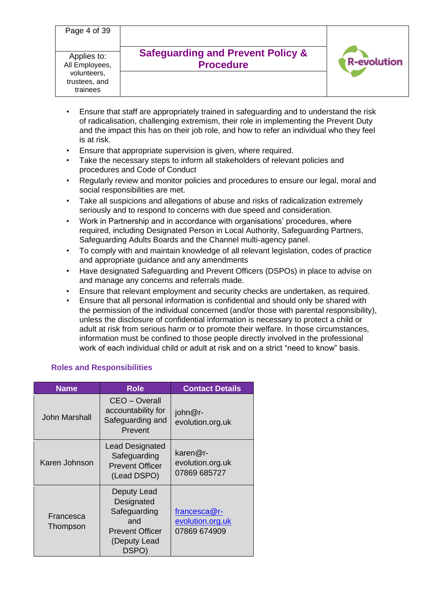Page 4 of 39 Applies to: All Employees, volunteers,

trustees, and trainees

# **Safeguarding and Prevent Policy & Procedure**



- Ensure that staff are appropriately trained in safeguarding and to understand the risk of radicalisation, challenging extremism, their role in implementing the Prevent Duty and the impact this has on their job role, and how to refer an individual who they feel is at risk.
- Ensure that appropriate supervision is given, where required.
- Take the necessary steps to inform all stakeholders of relevant policies and procedures and Code of Conduct
- Regularly review and monitor policies and procedures to ensure our legal, moral and social responsibilities are met.
- Take all suspicions and allegations of abuse and risks of radicalization extremely seriously and to respond to concerns with due speed and consideration.
- Work in Partnership and in accordance with organisations' procedures, where required, including Designated Person in Local Authority, Safeguarding Partners, Safeguarding Adults Boards and the Channel multi-agency panel.
- To comply with and maintain knowledge of all relevant legislation, codes of practice and appropriate guidance and any amendments
- Have designated Safeguarding and Prevent Officers (DSPOs) in place to advise on and manage any concerns and referrals made.
- Ensure that relevant employment and security checks are undertaken, as required.
- Ensure that all personal information is confidential and should only be shared with the permission of the individual concerned (and/or those with parental responsibility), unless the disclosure of confidential information is necessary to protect a child or adult at risk from serious harm or to promote their welfare. In those circumstances, information must be confined to those people directly involved in the professional work of each individual child or adult at risk and on a strict "need to know" basis.

# **Roles and Responsibilities**

| <b>Name</b>           | <b>Role</b>                                                                                         | <b>Contact Details</b>                                   |
|-----------------------|-----------------------------------------------------------------------------------------------------|----------------------------------------------------------|
| John Marshall         | CEO - Overall<br>accountability for<br>Safeguarding and<br>Prevent                                  | john@r-<br>evolution.org.uk                              |
| Karen Johnson         | <b>Lead Designated</b><br>Safeguarding<br><b>Prevent Officer</b><br>(Lead DSPO)                     | $\textsf{karen@r}$ -<br>evolution.org.uk<br>07869 685727 |
| Francesca<br>Thompson | Deputy Lead<br>Designated<br>Safeguarding<br>and<br><b>Prevent Officer</b><br>(Deputy Lead<br>DSPO) | francesca@r-<br>evolution.org.uk<br>07869 674909         |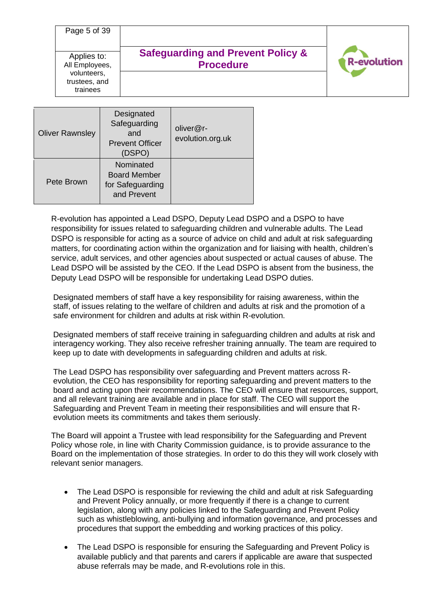| Page 5 of 39                             | <b>Safeguarding and Prevent Policy &amp;</b> |                    |
|------------------------------------------|----------------------------------------------|--------------------|
| Applies to:<br>All Employees,            | <b>Procedure</b>                             | <b>R-evolution</b> |
| volunteers,<br>trustees, and<br>trainees |                                              |                    |
|                                          | hatennisar                                   |                    |

| <b>Oliver Rawnsley</b> | Designated<br>Safeguarding<br>and<br><b>Prevent Officer</b><br>(DSPO) | oliver@r-<br>evolution.org.uk |
|------------------------|-----------------------------------------------------------------------|-------------------------------|
| Pete Brown             | Nominated<br><b>Board Member</b><br>for Safeguarding<br>and Prevent   |                               |

R-evolution has appointed a Lead DSPO, Deputy Lead DSPO and a DSPO to have responsibility for issues related to safeguarding children and vulnerable adults. The Lead DSPO is responsible for acting as a source of advice on child and adult at risk safeguarding matters, for coordinating action within the organization and for liaising with health, children's service, adult services, and other agencies about suspected or actual causes of abuse. The Lead DSPO will be assisted by the CEO. If the Lead DSPO is absent from the business, the Deputy Lead DSPO will be responsible for undertaking Lead DSPO duties.

Designated members of staff have a key responsibility for raising awareness, within the staff, of issues relating to the welfare of children and adults at risk and the promotion of a safe environment for children and adults at risk within R-evolution.

Designated members of staff receive training in safeguarding children and adults at risk and interagency working. They also receive refresher training annually. The team are required to keep up to date with developments in safeguarding children and adults at risk.

The Lead DSPO has responsibility over safeguarding and Prevent matters across Revolution, the CEO has responsibility for reporting safeguarding and prevent matters to the board and acting upon their recommendations. The CEO will ensure that resources, support, and all relevant training are available and in place for staff. The CEO will support the Safeguarding and Prevent Team in meeting their responsibilities and will ensure that Revolution meets its commitments and takes them seriously.

The Board will appoint a Trustee with lead responsibility for the Safeguarding and Prevent Policy whose role, in line with Charity Commission guidance, is to provide assurance to the Board on the implementation of those strategies. In order to do this they will work closely with relevant senior managers.

- The Lead DSPO is responsible for reviewing the child and adult at risk Safeguarding and Prevent Policy annually, or more frequently if there is a change to current legislation, along with any policies linked to the Safeguarding and Prevent Policy such as whistleblowing, anti-bullying and information governance, and processes and procedures that support the embedding and working practices of this policy.
- The Lead DSPO is responsible for ensuring the Safeguarding and Prevent Policy is available publicly and that parents and carers if applicable are aware that suspected abuse referrals may be made, and R-evolutions role in this.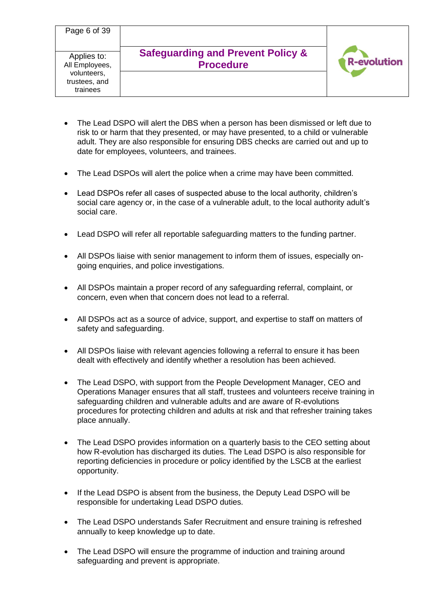- The Lead DSPO will alert the DBS when a person has been dismissed or left due to risk to or harm that they presented, or may have presented, to a child or vulnerable adult. They are also responsible for ensuring DBS checks are carried out and up to date for employees, volunteers, and trainees.
- The Lead DSPOs will alert the police when a crime may have been committed.
- Lead DSPOs refer all cases of suspected abuse to the local authority, children's social care agency or, in the case of a vulnerable adult, to the local authority adult's social care.
- Lead DSPO will refer all reportable safeguarding matters to the funding partner.
- All DSPOs liaise with senior management to inform them of issues, especially ongoing enquiries, and police investigations.
- All DSPOs maintain a proper record of any safeguarding referral, complaint, or concern, even when that concern does not lead to a referral.
- All DSPOs act as a source of advice, support, and expertise to staff on matters of safety and safeguarding.
- All DSPOs liaise with relevant agencies following a referral to ensure it has been dealt with effectively and identify whether a resolution has been achieved.
- The Lead DSPO, with support from the People Development Manager, CEO and Operations Manager ensures that all staff, trustees and volunteers receive training in safeguarding children and vulnerable adults and are aware of R-evolutions procedures for protecting children and adults at risk and that refresher training takes place annually.
- The Lead DSPO provides information on a quarterly basis to the CEO setting about how R-evolution has discharged its duties. The Lead DSPO is also responsible for reporting deficiencies in procedure or policy identified by the LSCB at the earliest opportunity.
- If the Lead DSPO is absent from the business, the Deputy Lead DSPO will be responsible for undertaking Lead DSPO duties.
- The Lead DSPO understands Safer Recruitment and ensure training is refreshed annually to keep knowledge up to date.
- The Lead DSPO will ensure the programme of induction and training around safeguarding and prevent is appropriate.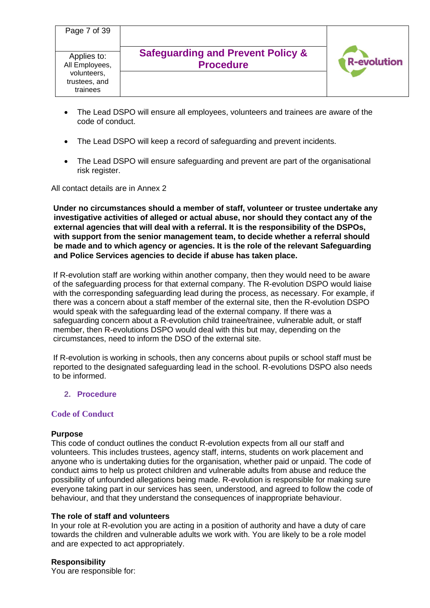| Page 7 of 39                             |                                                                  |                    |
|------------------------------------------|------------------------------------------------------------------|--------------------|
| Applies to:<br>All Employees,            | <b>Safeguarding and Prevent Policy &amp;</b><br><b>Procedure</b> | <b>R-evolution</b> |
| volunteers,<br>trustees, and<br>trainees |                                                                  |                    |

- The Lead DSPO will ensure all employees, volunteers and trainees are aware of the code of conduct.
- The Lead DSPO will keep a record of safeguarding and prevent incidents.
- The Lead DSPO will ensure safeguarding and prevent are part of the organisational risk register.

All contact details are in Annex 2

**Under no circumstances should a member of staff, volunteer or trustee undertake any investigative activities of alleged or actual abuse, nor should they contact any of the external agencies that will deal with a referral. It is the responsibility of the DSPOs, with support from the senior management team, to decide whether a referral should be made and to which agency or agencies. It is the role of the relevant Safeguarding and Police Services agencies to decide if abuse has taken place.** 

If R-evolution staff are working within another company, then they would need to be aware of the safeguarding process for that external company. The R-evolution DSPO would liaise with the corresponding safeguarding lead during the process, as necessary. For example, if there was a concern about a staff member of the external site, then the R-evolution DSPO would speak with the safeguarding lead of the external company. If there was a safeguarding concern about a R-evolution child trainee/trainee, vulnerable adult, or staff member, then R-evolutions DSPO would deal with this but may, depending on the circumstances, need to inform the DSO of the external site.

If R-evolution is working in schools, then any concerns about pupils or school staff must be reported to the designated safeguarding lead in the school. R-evolutions DSPO also needs to be informed.

### **2. Procedure**

## **Code of Conduct**

### **Purpose**

This code of conduct outlines the conduct R-evolution expects from all our staff and volunteers. This includes trustees, agency staff, interns, students on work placement and anyone who is undertaking duties for the organisation, whether paid or unpaid. The code of conduct aims to help us protect children and vulnerable adults from abuse and reduce the possibility of unfounded allegations being made. R-evolution is responsible for making sure everyone taking part in our services has seen, understood, and agreed to follow the code of behaviour, and that they understand the consequences of inappropriate behaviour.

### **The role of staff and volunteers**

In your role at R-evolution you are acting in a position of authority and have a duty of care towards the children and vulnerable adults we work with. You are likely to be a role model and are expected to act appropriately.

### **Responsibility**

You are responsible for: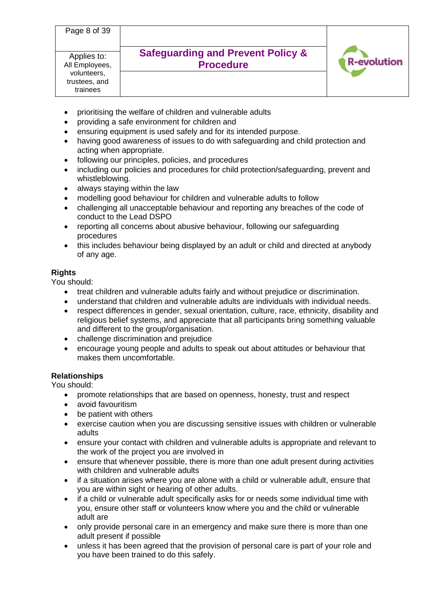Page 8 of 39

Applies to: All Employees, volunteers, trustees, and trainees

# **Safeguarding and Prevent Policy & Procedure**



- prioritising the welfare of children and vulnerable adults
- providing a safe environment for children and
- ensuring equipment is used safely and for its intended purpose.
- having good awareness of issues to do with safeguarding and child protection and acting when appropriate.
- following our principles, policies, and procedures
- including our policies and procedures for child protection/safeguarding, prevent and whistleblowing.
- always staying within the law
- modelling good behaviour for children and vulnerable adults to follow
- challenging all unacceptable behaviour and reporting any breaches of the code of conduct to the Lead DSPO
- reporting all concerns about abusive behaviour, following our safeguarding procedures
- this includes behaviour being displayed by an adult or child and directed at anybody of any age.

# **Rights**

You should:

- treat children and vulnerable adults fairly and without prejudice or discrimination.
- understand that children and vulnerable adults are individuals with individual needs.
- respect differences in gender, sexual orientation, culture, race, ethnicity, disability and religious belief systems, and appreciate that all participants bring something valuable and different to the group/organisation.
- challenge discrimination and prejudice
- encourage young people and adults to speak out about attitudes or behaviour that makes them uncomfortable.

# **Relationships**

You should:

- promote relationships that are based on openness, honesty, trust and respect
- avoid favouritism
- be patient with others
- exercise caution when you are discussing sensitive issues with children or vulnerable adults
- ensure your contact with children and vulnerable adults is appropriate and relevant to the work of the project you are involved in
- ensure that whenever possible, there is more than one adult present during activities with children and vulnerable adults
- if a situation arises where you are alone with a child or vulnerable adult, ensure that you are within sight or hearing of other adults.
- if a child or vulnerable adult specifically asks for or needs some individual time with you, ensure other staff or volunteers know where you and the child or vulnerable adult are
- only provide personal care in an emergency and make sure there is more than one adult present if possible
- unless it has been agreed that the provision of personal care is part of your role and you have been trained to do this safely.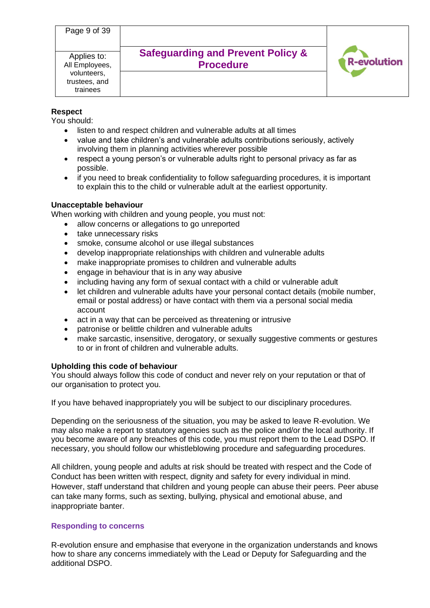| Page 9 of 39                                                              |                                                                  |                    |
|---------------------------------------------------------------------------|------------------------------------------------------------------|--------------------|
| Applies to:<br>All Employees,<br>volunteers,<br>trustees, and<br>trainees | <b>Safeguarding and Prevent Policy &amp;</b><br><b>Procedure</b> | <b>R-evolution</b> |

## **Respect**

You should:

- listen to and respect children and vulnerable adults at all times
- value and take children's and vulnerable adults contributions seriously, actively involving them in planning activities wherever possible
- respect a young person's or vulnerable adults right to personal privacy as far as possible.
- if you need to break confidentiality to follow safeguarding procedures, it is important to explain this to the child or vulnerable adult at the earliest opportunity.

### **Unacceptable behaviour**

When working with children and young people, you must not:

- allow concerns or allegations to go unreported
- take unnecessary risks
- smoke, consume alcohol or use illegal substances
- develop inappropriate relationships with children and vulnerable adults
- make inappropriate promises to children and vulnerable adults
- engage in behaviour that is in any way abusive
- including having any form of sexual contact with a child or vulnerable adult
- let children and vulnerable adults have your personal contact details (mobile number, email or postal address) or have contact with them via a personal social media account
- act in a way that can be perceived as threatening or intrusive
- patronise or belittle children and vulnerable adults
- make sarcastic, insensitive, derogatory, or sexually suggestive comments or gestures to or in front of children and vulnerable adults.

### **Upholding this code of behaviour**

You should always follow this code of conduct and never rely on your reputation or that of our organisation to protect you.

If you have behaved inappropriately you will be subject to our disciplinary procedures.

Depending on the seriousness of the situation, you may be asked to leave R-evolution. We may also make a report to statutory agencies such as the police and/or the local authority. If you become aware of any breaches of this code, you must report them to the Lead DSPO. If necessary, you should follow our whistleblowing procedure and safeguarding procedures.

All children, young people and adults at risk should be treated with respect and the Code of Conduct has been written with respect, dignity and safety for every individual in mind. However, staff understand that children and young people can abuse their peers. Peer abuse can take many forms, such as sexting, bullying, physical and emotional abuse, and inappropriate banter.

## **Responding to concerns**

R-evolution ensure and emphasise that everyone in the organization understands and knows how to share any concerns immediately with the Lead or Deputy for Safeguarding and the additional DSPO.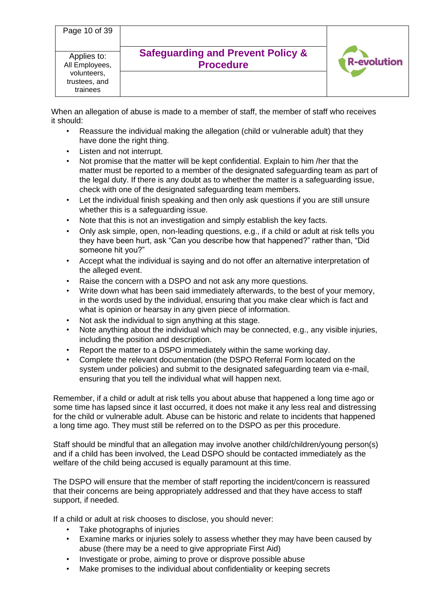| Page 10 of 39                                                             |                                                                  |                    |
|---------------------------------------------------------------------------|------------------------------------------------------------------|--------------------|
| Applies to:<br>All Employees,<br>volunteers,<br>trustees, and<br>trainees | <b>Safeguarding and Prevent Policy &amp;</b><br><b>Procedure</b> | <b>R-evolution</b> |

When an allegation of abuse is made to a member of staff, the member of staff who receives it should:

- Reassure the individual making the allegation (child or vulnerable adult) that they have done the right thing.
- Listen and not interrupt.
- Not promise that the matter will be kept confidential. Explain to him /her that the matter must be reported to a member of the designated safeguarding team as part of the legal duty. If there is any doubt as to whether the matter is a safeguarding issue, check with one of the designated safeguarding team members.
- Let the individual finish speaking and then only ask questions if you are still unsure whether this is a safeguarding issue.
- Note that this is not an investigation and simply establish the key facts.
- Only ask simple, open, non-leading questions, e.g., if a child or adult at risk tells you they have been hurt, ask "Can you describe how that happened?" rather than, "Did someone hit you?"
- Accept what the individual is saying and do not offer an alternative interpretation of the alleged event.
- Raise the concern with a DSPO and not ask any more questions.
- Write down what has been said immediately afterwards, to the best of your memory, in the words used by the individual, ensuring that you make clear which is fact and what is opinion or hearsay in any given piece of information.
- Not ask the individual to sign anything at this stage.
- Note anything about the individual which may be connected, e.g., any visible injuries, including the position and description.
- Report the matter to a DSPO immediately within the same working day.
- Complete the relevant documentation (the DSPO Referral Form located on the system under policies) and submit to the designated safeguarding team via e-mail, ensuring that you tell the individual what will happen next.

Remember, if a child or adult at risk tells you about abuse that happened a long time ago or some time has lapsed since it last occurred, it does not make it any less real and distressing for the child or vulnerable adult. Abuse can be historic and relate to incidents that happened a long time ago. They must still be referred on to the DSPO as per this procedure.

Staff should be mindful that an allegation may involve another child/children/young person(s) and if a child has been involved, the Lead DSPO should be contacted immediately as the welfare of the child being accused is equally paramount at this time.

The DSPO will ensure that the member of staff reporting the incident/concern is reassured that their concerns are being appropriately addressed and that they have access to staff support, if needed.

If a child or adult at risk chooses to disclose, you should never:

- Take photographs of injuries
- Examine marks or injuries solely to assess whether they may have been caused by abuse (there may be a need to give appropriate First Aid)
- Investigate or probe, aiming to prove or disprove possible abuse
- Make promises to the individual about confidentiality or keeping secrets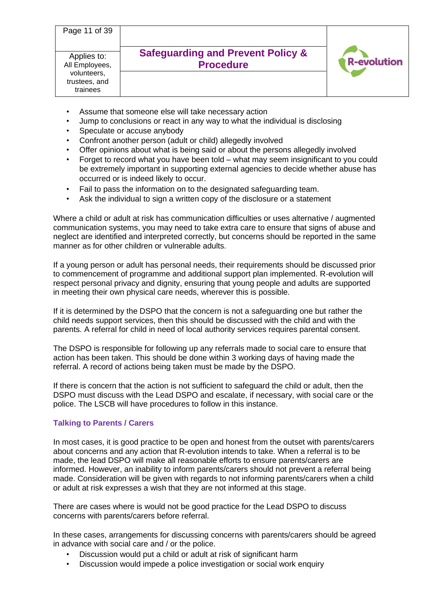| Page 11 of 39                                                             |                                                                  |                    |
|---------------------------------------------------------------------------|------------------------------------------------------------------|--------------------|
| Applies to:<br>All Employees,<br>volunteers,<br>trustees, and<br>trainees | <b>Safeguarding and Prevent Policy &amp;</b><br><b>Procedure</b> | <b>R-evolution</b> |

- Assume that someone else will take necessary action
- Jump to conclusions or react in any way to what the individual is disclosing
- Speculate or accuse anybody
- Confront another person (adult or child) allegedly involved
- Offer opinions about what is being said or about the persons allegedly involved
- Forget to record what you have been told what may seem insignificant to you could be extremely important in supporting external agencies to decide whether abuse has occurred or is indeed likely to occur.
- Fail to pass the information on to the designated safeguarding team.
- Ask the individual to sign a written copy of the disclosure or a statement

Where a child or adult at risk has communication difficulties or uses alternative / augmented communication systems, you may need to take extra care to ensure that signs of abuse and neglect are identified and interpreted correctly, but concerns should be reported in the same manner as for other children or vulnerable adults.

If a young person or adult has personal needs, their requirements should be discussed prior to commencement of programme and additional support plan implemented. R-evolution will respect personal privacy and dignity, ensuring that young people and adults are supported in meeting their own physical care needs, wherever this is possible.

If it is determined by the DSPO that the concern is not a safeguarding one but rather the child needs support services, then this should be discussed with the child and with the parents. A referral for child in need of local authority services requires parental consent.

The DSPO is responsible for following up any referrals made to social care to ensure that action has been taken. This should be done within 3 working days of having made the referral. A record of actions being taken must be made by the DSPO.

If there is concern that the action is not sufficient to safeguard the child or adult, then the DSPO must discuss with the Lead DSPO and escalate, if necessary, with social care or the police. The LSCB will have procedures to follow in this instance.

## **Talking to Parents / Carers**

In most cases, it is good practice to be open and honest from the outset with parents/carers about concerns and any action that R-evolution intends to take. When a referral is to be made, the lead DSPO will make all reasonable efforts to ensure parents/carers are informed. However, an inability to inform parents/carers should not prevent a referral being made. Consideration will be given with regards to not informing parents/carers when a child or adult at risk expresses a wish that they are not informed at this stage.

There are cases where is would not be good practice for the Lead DSPO to discuss concerns with parents/carers before referral.

In these cases, arrangements for discussing concerns with parents/carers should be agreed in advance with social care and / or the police.

- Discussion would put a child or adult at risk of significant harm
- Discussion would impede a police investigation or social work enquiry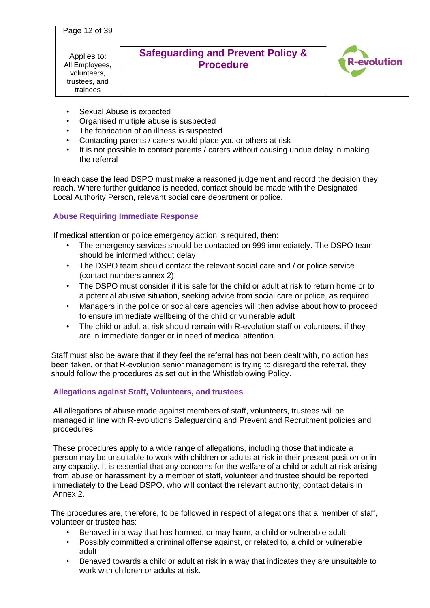| Page 12 of 39                                                             |                                                                  |                    |
|---------------------------------------------------------------------------|------------------------------------------------------------------|--------------------|
| Applies to:<br>All Employees,<br>volunteers,<br>trustees, and<br>trainees | <b>Safeguarding and Prevent Policy &amp;</b><br><b>Procedure</b> | <b>R-evolution</b> |

- Sexual Abuse is expected
- Organised multiple abuse is suspected
- The fabrication of an illness is suspected
- Contacting parents / carers would place you or others at risk
- It is not possible to contact parents / carers without causing undue delay in making the referral

In each case the lead DSPO must make a reasoned judgement and record the decision they reach. Where further guidance is needed, contact should be made with the Designated Local Authority Person, relevant social care department or police.

# **Abuse Requiring Immediate Response**

If medical attention or police emergency action is required, then:

- The emergency services should be contacted on 999 immediately. The DSPO team should be informed without delay
- The DSPO team should contact the relevant social care and / or police service (contact numbers annex 2)
- The DSPO must consider if it is safe for the child or adult at risk to return home or to a potential abusive situation, seeking advice from social care or police, as required.
- Managers in the police or social care agencies will then advise about how to proceed to ensure immediate wellbeing of the child or vulnerable adult
- The child or adult at risk should remain with R-evolution staff or volunteers, if they are in immediate danger or in need of medical attention.

Staff must also be aware that if they feel the referral has not been dealt with, no action has been taken, or that R-evolution senior management is trying to disregard the referral, they should follow the procedures as set out in the Whistleblowing Policy.

# **Allegations against Staff, Volunteers, and trustees**

All allegations of abuse made against members of staff, volunteers, trustees will be managed in line with R-evolutions Safeguarding and Prevent and Recruitment policies and procedures.

These procedures apply to a wide range of allegations, including those that indicate a person may be unsuitable to work with children or adults at risk in their present position or in any capacity. It is essential that any concerns for the welfare of a child or adult at risk arising from abuse or harassment by a member of staff, volunteer and trustee should be reported immediately to the Lead DSPO, who will contact the relevant authority, contact details in Annex 2.

The procedures are, therefore, to be followed in respect of allegations that a member of staff, volunteer or trustee has:

- Behaved in a way that has harmed, or may harm, a child or vulnerable adult
- Possibly committed a criminal offense against, or related to, a child or vulnerable adult
- Behaved towards a child or adult at risk in a way that indicates they are unsuitable to work with children or adults at risk.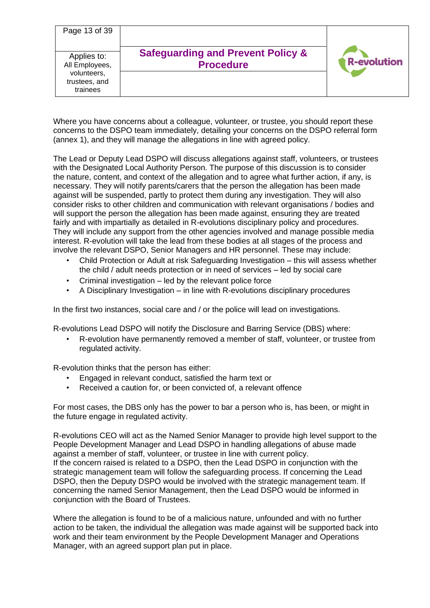| Page 13 of 39                                                             |                                                                  |                    |
|---------------------------------------------------------------------------|------------------------------------------------------------------|--------------------|
| Applies to:<br>All Employees,<br>volunteers,<br>trustees, and<br>trainees | <b>Safeguarding and Prevent Policy &amp;</b><br><b>Procedure</b> | <b>R-evolution</b> |

Where you have concerns about a colleague, volunteer, or trustee, you should report these concerns to the DSPO team immediately, detailing your concerns on the DSPO referral form (annex 1), and they will manage the allegations in line with agreed policy.

The Lead or Deputy Lead DSPO will discuss allegations against staff, volunteers, or trustees with the Designated Local Authority Person. The purpose of this discussion is to consider the nature, content, and context of the allegation and to agree what further action, if any, is necessary. They will notify parents/carers that the person the allegation has been made against will be suspended, partly to protect them during any investigation. They will also consider risks to other children and communication with relevant organisations / bodies and will support the person the allegation has been made against, ensuring they are treated fairly and with impartially as detailed in R-evolutions disciplinary policy and procedures. They will include any support from the other agencies involved and manage possible media interest. R-evolution will take the lead from these bodies at all stages of the process and involve the relevant DSPO, Senior Managers and HR personnel. These may include:

- Child Protection or Adult at risk Safeguarding Investigation this will assess whether the child / adult needs protection or in need of services – led by social care
- Criminal investigation led by the relevant police force
- A Disciplinary Investigation in line with R-evolutions disciplinary procedures

In the first two instances, social care and / or the police will lead on investigations.

R-evolutions Lead DSPO will notify the Disclosure and Barring Service (DBS) where:

• R-evolution have permanently removed a member of staff, volunteer, or trustee from regulated activity.

R-evolution thinks that the person has either:

- Engaged in relevant conduct, satisfied the harm text or
- Received a caution for, or been convicted of, a relevant offence

For most cases, the DBS only has the power to bar a person who is, has been, or might in the future engage in regulated activity.

R-evolutions CEO will act as the Named Senior Manager to provide high level support to the People Development Manager and Lead DSPO in handling allegations of abuse made against a member of staff, volunteer, or trustee in line with current policy. If the concern raised is related to a DSPO, then the Lead DSPO in conjunction with the strategic management team will follow the safeguarding process. If concerning the Lead DSPO, then the Deputy DSPO would be involved with the strategic management team. If concerning the named Senior Management, then the Lead DSPO would be informed in conjunction with the Board of Trustees.

Where the allegation is found to be of a malicious nature, unfounded and with no further action to be taken, the individual the allegation was made against will be supported back into work and their team environment by the People Development Manager and Operations Manager, with an agreed support plan put in place.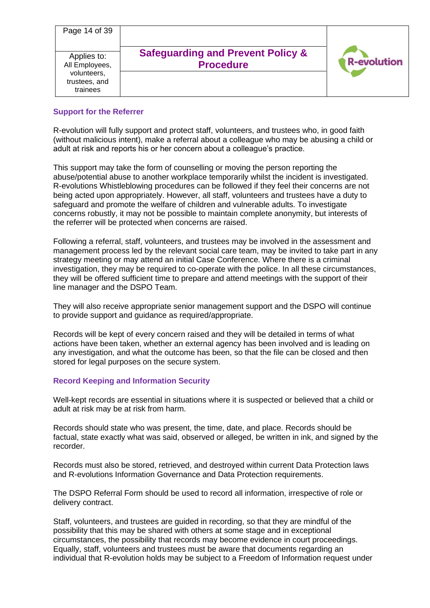| Page 14 of 39                                                             |                                                                  |                    |
|---------------------------------------------------------------------------|------------------------------------------------------------------|--------------------|
| Applies to:<br>All Employees,<br>volunteers,<br>trustees, and<br>trainees | <b>Safeguarding and Prevent Policy &amp;</b><br><b>Procedure</b> | <b>R-evolution</b> |

## **Support for the Referrer**

R-evolution will fully support and protect staff, volunteers, and trustees who, in good faith (without malicious intent), make a referral about a colleague who may be abusing a child or adult at risk and reports his or her concern about a colleague's practice.

This support may take the form of counselling or moving the person reporting the abuse/potential abuse to another workplace temporarily whilst the incident is investigated. R-evolutions Whistleblowing procedures can be followed if they feel their concerns are not being acted upon appropriately. However, all staff, volunteers and trustees have a duty to safeguard and promote the welfare of children and vulnerable adults. To investigate concerns robustly, it may not be possible to maintain complete anonymity, but interests of the referrer will be protected when concerns are raised.

Following a referral, staff, volunteers, and trustees may be involved in the assessment and management process led by the relevant social care team, may be invited to take part in any strategy meeting or may attend an initial Case Conference. Where there is a criminal investigation, they may be required to co-operate with the police. In all these circumstances, they will be offered sufficient time to prepare and attend meetings with the support of their line manager and the DSPO Team.

They will also receive appropriate senior management support and the DSPO will continue to provide support and guidance as required/appropriate.

Records will be kept of every concern raised and they will be detailed in terms of what actions have been taken, whether an external agency has been involved and is leading on any investigation, and what the outcome has been, so that the file can be closed and then stored for legal purposes on the secure system.

## **Record Keeping and Information Security**

Well-kept records are essential in situations where it is suspected or believed that a child or adult at risk may be at risk from harm.

Records should state who was present, the time, date, and place. Records should be factual, state exactly what was said, observed or alleged, be written in ink, and signed by the recorder.

Records must also be stored, retrieved, and destroyed within current Data Protection laws and R-evolutions Information Governance and Data Protection requirements.

The DSPO Referral Form should be used to record all information, irrespective of role or delivery contract.

Staff, volunteers, and trustees are guided in recording, so that they are mindful of the possibility that this may be shared with others at some stage and in exceptional circumstances, the possibility that records may become evidence in court proceedings. Equally, staff, volunteers and trustees must be aware that documents regarding an individual that R-evolution holds may be subject to a Freedom of Information request under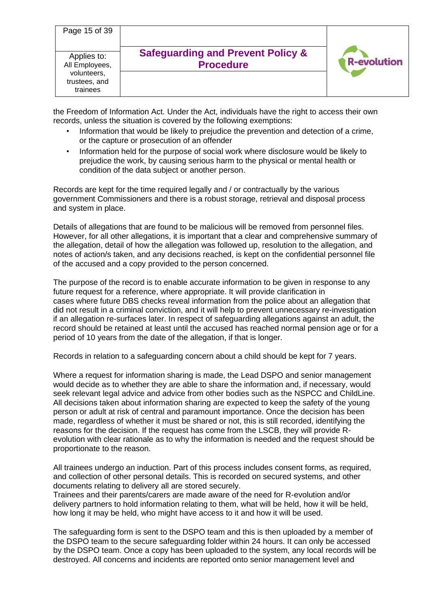| Page 15 of 39                                                             |                                                                  |                    |
|---------------------------------------------------------------------------|------------------------------------------------------------------|--------------------|
| Applies to:<br>All Employees,<br>volunteers,<br>trustees, and<br>trainees | <b>Safeguarding and Prevent Policy &amp;</b><br><b>Procedure</b> | <b>R-evolution</b> |

the Freedom of Information Act. Under the Act, individuals have the right to access their own records, unless the situation is covered by the following exemptions:

- Information that would be likely to prejudice the prevention and detection of a crime, or the capture or prosecution of an offender
- Information held for the purpose of social work where disclosure would be likely to prejudice the work, by causing serious harm to the physical or mental health or condition of the data subject or another person.

Records are kept for the time required legally and / or contractually by the various government Commissioners and there is a robust storage, retrieval and disposal process and system in place.

Details of allegations that are found to be malicious will be removed from personnel files. However, for all other allegations, it is important that a clear and comprehensive summary of the allegation, detail of how the allegation was followed up, resolution to the allegation, and notes of action/s taken, and any decisions reached, is kept on the confidential personnel file of the accused and a copy provided to the person concerned.

The purpose of the record is to enable accurate information to be given in response to any future request for a reference, where appropriate. It will provide clarification in cases where future DBS checks reveal information from the police about an allegation that did not result in a criminal conviction, and it will help to prevent unnecessary re-investigation if an allegation re-surfaces later. In respect of safeguarding allegations against an adult, the record should be retained at least until the accused has reached normal pension age or for a period of 10 years from the date of the allegation, if that is longer.

Records in relation to a safeguarding concern about a child should be kept for 7 years.

Where a request for information sharing is made, the Lead DSPO and senior management would decide as to whether they are able to share the information and, if necessary, would seek relevant legal advice and advice from other bodies such as the NSPCC and ChildLine. All decisions taken about information sharing are expected to keep the safety of the young person or adult at risk of central and paramount importance. Once the decision has been made, regardless of whether it must be shared or not, this is still recorded, identifying the reasons for the decision. If the request has come from the LSCB, they will provide Revolution with clear rationale as to why the information is needed and the request should be proportionate to the reason.

All trainees undergo an induction. Part of this process includes consent forms, as required, and collection of other personal details. This is recorded on secured systems, and other documents relating to delivery all are stored securely.

Trainees and their parents/carers are made aware of the need for R-evolution and/or delivery partners to hold information relating to them, what will be held, how it will be held, how long it may be held, who might have access to it and how it will be used.

The safeguarding form is sent to the DSPO team and this is then uploaded by a member of the DSPO team to the secure safeguarding folder within 24 hours. It can only be accessed by the DSPO team. Once a copy has been uploaded to the system, any local records will be destroyed. All concerns and incidents are reported onto senior management level and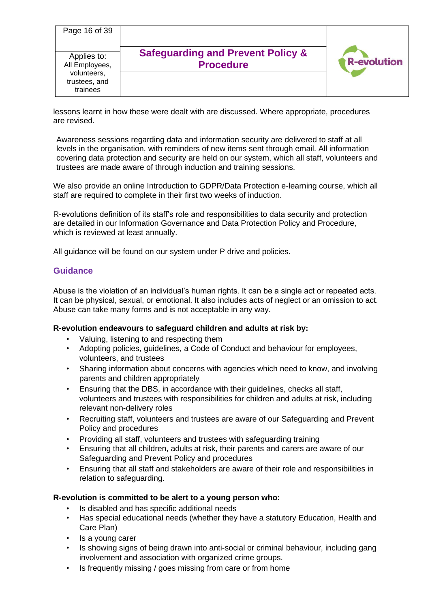| Page 16 of 39                                                             |                                                                  |                    |
|---------------------------------------------------------------------------|------------------------------------------------------------------|--------------------|
| Applies to:<br>All Employees,<br>volunteers,<br>trustees, and<br>trainees | <b>Safeguarding and Prevent Policy &amp;</b><br><b>Procedure</b> | <b>R-evolution</b> |

lessons learnt in how these were dealt with are discussed. Where appropriate, procedures are revised.

Awareness sessions regarding data and information security are delivered to staff at all levels in the organisation, with reminders of new items sent through email. All information covering data protection and security are held on our system, which all staff, volunteers and trustees are made aware of through induction and training sessions.

We also provide an online Introduction to GDPR/Data Protection e-learning course, which all staff are required to complete in their first two weeks of induction.

R-evolutions definition of its staff's role and responsibilities to data security and protection are detailed in our Information Governance and Data Protection Policy and Procedure, which is reviewed at least annually.

All guidance will be found on our system under P drive and policies.

# **Guidance**

Abuse is the violation of an individual's human rights. It can be a single act or repeated acts. It can be physical, sexual, or emotional. It also includes acts of neglect or an omission to act. Abuse can take many forms and is not acceptable in any way.

## **R-evolution endeavours to safeguard children and adults at risk by:**

- Valuing, listening to and respecting them
- Adopting policies, guidelines, a Code of Conduct and behaviour for employees, volunteers, and trustees
- Sharing information about concerns with agencies which need to know, and involving parents and children appropriately
- Ensuring that the DBS, in accordance with their guidelines, checks all staff, volunteers and trustees with responsibilities for children and adults at risk, including relevant non-delivery roles
- Recruiting staff, volunteers and trustees are aware of our Safeguarding and Prevent Policy and procedures
- Providing all staff, volunteers and trustees with safeguarding training
- Ensuring that all children, adults at risk, their parents and carers are aware of our Safeguarding and Prevent Policy and procedures
- Ensuring that all staff and stakeholders are aware of their role and responsibilities in relation to safeguarding.

## **R-evolution is committed to be alert to a young person who:**

- Is disabled and has specific additional needs
- Has special educational needs (whether they have a statutory Education, Health and Care Plan)
- Is a young carer
- Is showing signs of being drawn into anti-social or criminal behaviour, including gang involvement and association with organized crime groups.
- Is frequently missing / goes missing from care or from home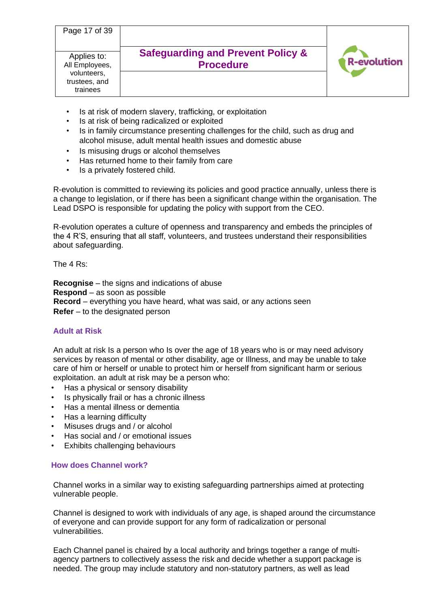| Page 17 of 39<br>Applies to:<br>All Employees,<br>volunteers, | <b>Safeguarding and Prevent Policy &amp;</b><br><b>Procedure</b> | <b>R-evolution</b> |
|---------------------------------------------------------------|------------------------------------------------------------------|--------------------|
| trustees, and<br>trainees                                     |                                                                  |                    |

- Is at risk of modern slavery, trafficking, or exploitation
- Is at risk of being radicalized or exploited
- Is in family circumstance presenting challenges for the child, such as drug and alcohol misuse, adult mental health issues and domestic abuse
- Is misusing drugs or alcohol themselves
- Has returned home to their family from care
- Is a privately fostered child.

R-evolution is committed to reviewing its policies and good practice annually, unless there is a change to legislation, or if there has been a significant change within the organisation. The Lead DSPO is responsible for updating the policy with support from the CEO.

R-evolution operates a culture of openness and transparency and embeds the principles of the 4 R'S, ensuring that all staff, volunteers, and trustees understand their responsibilities about safeguarding.

The 4 Rs:

**Recognise** – the signs and indications of abuse **Respond** – as soon as possible **Record** – everything you have heard, what was said, or any actions seen **Refer** – to the designated person

# **Adult at Risk**

An adult at risk Is a person who Is over the age of 18 years who is or may need advisory services by reason of mental or other disability, age or Illness, and may be unable to take care of him or herself or unable to protect him or herself from significant harm or serious exploitation. an adult at risk may be a person who:

- Has a physical or sensory disability
- Is physically frail or has a chronic illness
- Has a mental illness or dementia
- Has a learning difficulty
- Misuses drugs and / or alcohol
- Has social and / or emotional issues
- **Exhibits challenging behaviours**

## **How does Channel work?**

Channel works in a similar way to existing safeguarding partnerships aimed at protecting vulnerable people.

Channel is designed to work with individuals of any age, is shaped around the circumstance of everyone and can provide support for any form of radicalization or personal vulnerabilities.

Each Channel panel is chaired by a local authority and brings together a range of multiagency partners to collectively assess the risk and decide whether a support package is needed. The group may include statutory and non-statutory partners, as well as lead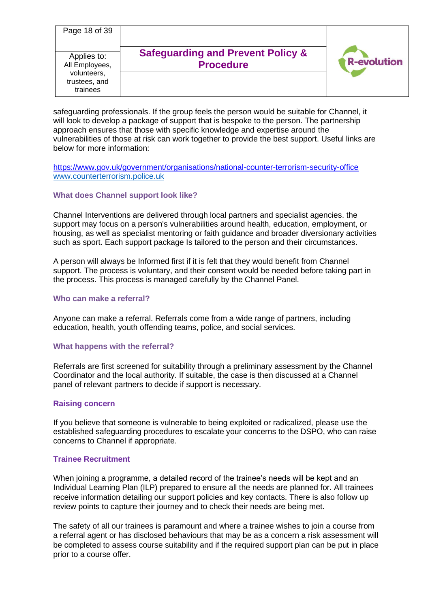| Page 18 of 39                                                             |                                                                  |                    |
|---------------------------------------------------------------------------|------------------------------------------------------------------|--------------------|
| Applies to:<br>All Employees,<br>volunteers,<br>trustees, and<br>trainees | <b>Safeguarding and Prevent Policy &amp;</b><br><b>Procedure</b> | <b>R-evolution</b> |

safeguarding professionals. If the group feels the person would be suitable for Channel, it will look to develop a package of support that is bespoke to the person. The partnership approach ensures that those with specific knowledge and expertise around the vulnerabilities of those at risk can work together to provide the best support. Useful links are below for more information:

<https://www.gov.uk/government/organisations/national-counter-terrorism-security-office> [www.counterterrorism.police.uk](http://www.counterterrorism.police.uk/)

### **What does Channel support look like?**

Channel Interventions are delivered through local partners and specialist agencies. the support may focus on a person's vulnerabilities around health, education, employment, or housing, as well as specialist mentoring or faith guidance and broader diversionary activities such as sport. Each support package Is tailored to the person and their circumstances.

A person will always be Informed first if it is felt that they would benefit from Channel support. The process is voluntary, and their consent would be needed before taking part in the process. This process is managed carefully by the Channel Panel.

### **Who can make a referral?**

Anyone can make a referral. Referrals come from a wide range of partners, including education, health, youth offending teams, police, and social services.

### **What happens with the referral?**

Referrals are first screened for suitability through a preliminary assessment by the Channel Coordinator and the local authority. If suitable, the case is then discussed at a Channel panel of relevant partners to decide if support is necessary.

### **Raising concern**

If you believe that someone is vulnerable to being exploited or radicalized, please use the established safeguarding procedures to escalate your concerns to the DSPO, who can raise concerns to Channel if appropriate.

### **Trainee Recruitment**

When joining a programme, a detailed record of the trainee's needs will be kept and an Individual Learning Plan (ILP) prepared to ensure all the needs are planned for. All trainees receive information detailing our support policies and key contacts. There is also follow up review points to capture their journey and to check their needs are being met.

The safety of all our trainees is paramount and where a trainee wishes to join a course from a referral agent or has disclosed behaviours that may be as a concern a risk assessment will be completed to assess course suitability and if the required support plan can be put in place prior to a course offer.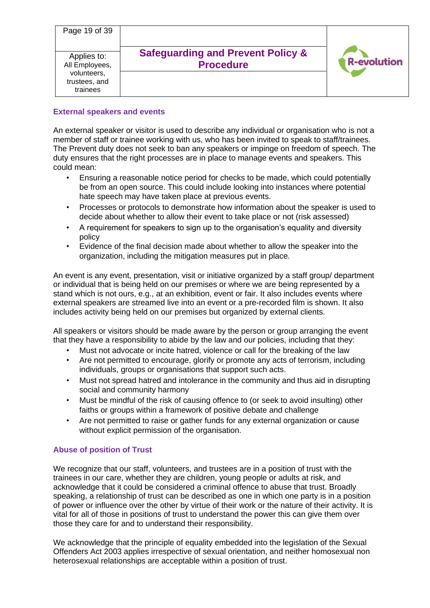| Page 19 of 39                                                             |                                                                  |                    |
|---------------------------------------------------------------------------|------------------------------------------------------------------|--------------------|
| Applies to:<br>All Employees,<br>volunteers,<br>trustees, and<br>trainees | <b>Safeguarding and Prevent Policy &amp;</b><br><b>Procedure</b> | <b>R-evolution</b> |

# **External speakers and events**

An external speaker or visitor is used to describe any individual or organisation who is not a member of staff or trainee working with us, who has been invited to speak to staff/trainees. The Prevent duty does not seek to ban any speakers or impinge on freedom of speech. The duty ensures that the right processes are in place to manage events and speakers. This could mean:

- Ensuring a reasonable notice period for checks to be made, which could potentially be from an open source. This could include looking into instances where potential hate speech may have taken place at previous events.
- Processes or protocols to demonstrate how information about the speaker is used to decide about whether to allow their event to take place or not (risk assessed)
- A requirement for speakers to sign up to the organisation's equality and diversity policy
- Evidence of the final decision made about whether to allow the speaker into the organization, including the mitigation measures put in place.

An event is any event, presentation, visit or initiative organized by a staff group/ department or individual that is being held on our premises or where we are being represented by a stand which is not ours, e.g., at an exhibition, event or fair. It also includes events where external speakers are streamed live into an event or a pre-recorded film is shown. It also includes activity being held on our premises but organized by external clients.

All speakers or visitors should be made aware by the person or group arranging the event that they have a responsibility to abide by the law and our policies, including that they:

- Must not advocate or incite hatred, violence or call for the breaking of the law
- Are not permitted to encourage, glorify or promote any acts of terrorism, including individuals, groups or organisations that support such acts.
- Must not spread hatred and intolerance in the community and thus aid in disrupting social and community harmony
- Must be mindful of the risk of causing offence to (or seek to avoid insulting) other faiths or groups within a framework of positive debate and challenge
- Are not permitted to raise or gather funds for any external organization or cause without explicit permission of the organisation.

# **Abuse of position of Trust**

We recognize that our staff, volunteers, and trustees are in a position of trust with the trainees in our care, whether they are children, young people or adults at risk, and acknowledge that it could be considered a criminal offence to abuse that trust. Broadly speaking, a relationship of trust can be described as one in which one party is in a position of power or influence over the other by virtue of their work or the nature of their activity. It is vital for all of those in positions of trust to understand the power this can give them over those they care for and to understand their responsibility.

We acknowledge that the principle of equality embedded into the legislation of the Sexual Offenders Act 2003 applies irrespective of sexual orientation, and neither homosexual non heterosexual relationships are acceptable within a position of trust.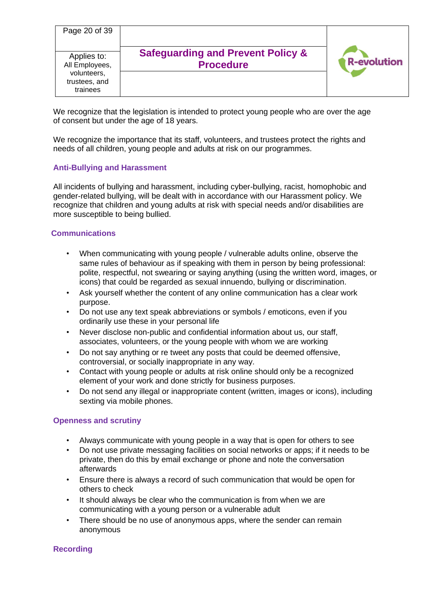| Page 20 of 39                                                             |                                                                  |                    |
|---------------------------------------------------------------------------|------------------------------------------------------------------|--------------------|
| Applies to:<br>All Employees,<br>volunteers,<br>trustees, and<br>trainees | <b>Safeguarding and Prevent Policy &amp;</b><br><b>Procedure</b> | <b>R-evolution</b> |

We recognize that the legislation is intended to protect young people who are over the age of consent but under the age of 18 years.

We recognize the importance that its staff, volunteers, and trustees protect the rights and needs of all children, young people and adults at risk on our programmes.

### **Anti-Bullying and Harassment**

All incidents of bullying and harassment, including cyber-bullying, racist, homophobic and gender-related bullying, will be dealt with in accordance with our Harassment policy. We recognize that children and young adults at risk with special needs and/or disabilities are more susceptible to being bullied.

### **Communications**

- When communicating with young people / vulnerable adults online, observe the same rules of behaviour as if speaking with them in person by being professional: polite, respectful, not swearing or saying anything (using the written word, images, or icons) that could be regarded as sexual innuendo, bullying or discrimination.
- Ask yourself whether the content of any online communication has a clear work purpose.
- Do not use any text speak abbreviations or symbols / emoticons, even if you ordinarily use these in your personal life
- Never disclose non-public and confidential information about us, our staff, associates, volunteers, or the young people with whom we are working
- Do not say anything or re tweet any posts that could be deemed offensive, controversial, or socially inappropriate in any way.
- Contact with young people or adults at risk online should only be a recognized element of your work and done strictly for business purposes.
- Do not send any illegal or inappropriate content (written, images or icons), including sexting via mobile phones.

## **Openness and scrutiny**

- Always communicate with young people in a way that is open for others to see
- Do not use private messaging facilities on social networks or apps; if it needs to be private, then do this by email exchange or phone and note the conversation afterwards
- Ensure there is always a record of such communication that would be open for others to check
- It should always be clear who the communication is from when we are communicating with a young person or a vulnerable adult
- There should be no use of anonymous apps, where the sender can remain anonymous

## **Recording**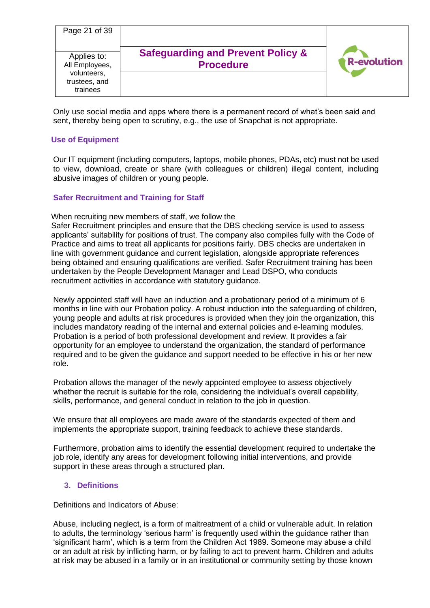| Page 21 of 39                                                             |                                                                  |                    |
|---------------------------------------------------------------------------|------------------------------------------------------------------|--------------------|
| Applies to:<br>All Employees,<br>volunteers,<br>trustees, and<br>trainees | <b>Safeguarding and Prevent Policy &amp;</b><br><b>Procedure</b> | <b>R-evolution</b> |

Only use social media and apps where there is a permanent record of what's been said and sent, thereby being open to scrutiny, e.g., the use of Snapchat is not appropriate.

### **Use of Equipment**

Our IT equipment (including computers, laptops, mobile phones, PDAs, etc) must not be used to view, download, create or share (with colleagues or children) illegal content, including abusive images of children or young people.

### **Safer Recruitment and Training for Staff**

When recruiting new members of staff, we follow the

Safer Recruitment principles and ensure that the DBS checking service is used to assess applicants' suitability for positions of trust. The company also compiles fully with the Code of Practice and aims to treat all applicants for positions fairly. DBS checks are undertaken in line with government guidance and current legislation, alongside appropriate references being obtained and ensuring qualifications are verified. Safer Recruitment training has been undertaken by the People Development Manager and Lead DSPO, who conducts recruitment activities in accordance with statutory guidance.

Newly appointed staff will have an induction and a probationary period of a minimum of 6 months in line with our Probation policy. A robust induction into the safeguarding of children, young people and adults at risk procedures is provided when they join the organization, this includes mandatory reading of the internal and external policies and e-learning modules. Probation is a period of both professional development and review. It provides a fair opportunity for an employee to understand the organization, the standard of performance required and to be given the guidance and support needed to be effective in his or her new role.

Probation allows the manager of the newly appointed employee to assess objectively whether the recruit is suitable for the role, considering the individual's overall capability, skills, performance, and general conduct in relation to the job in question.

We ensure that all employees are made aware of the standards expected of them and implements the appropriate support, training feedback to achieve these standards.

Furthermore, probation aims to identify the essential development required to undertake the job role, identify any areas for development following initial interventions, and provide support in these areas through a structured plan.

### **3. Definitions**

Definitions and Indicators of Abuse:

Abuse, including neglect, is a form of maltreatment of a child or vulnerable adult. In relation to adults, the terminology 'serious harm' is frequently used within the guidance rather than 'significant harm', which is a term from the Children Act 1989. Someone may abuse a child or an adult at risk by inflicting harm, or by failing to act to prevent harm. Children and adults at risk may be abused in a family or in an institutional or community setting by those known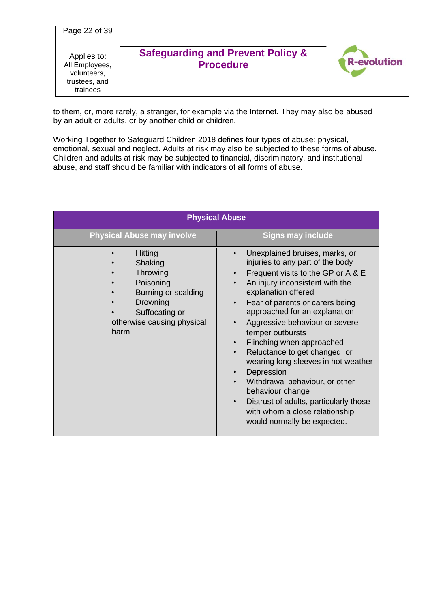| Page 22 of 39                                                             |                                                                  |                    |
|---------------------------------------------------------------------------|------------------------------------------------------------------|--------------------|
| Applies to:<br>All Employees,<br>volunteers,<br>trustees, and<br>trainees | <b>Safeguarding and Prevent Policy &amp;</b><br><b>Procedure</b> | <b>R-evolution</b> |

to them, or, more rarely, a stranger, for example via the Internet. They may also be abused by an adult or adults, or by another child or children.

Working Together to Safeguard Children 2018 defines four types of abuse: physical, emotional, sexual and neglect. Adults at risk may also be subjected to these forms of abuse. Children and adults at risk may be subjected to financial, discriminatory, and institutional abuse, and staff should be familiar with indicators of all forms of abuse.

| <b>Physical Abuse</b>                                                                                                                         |                                                                                                                                                                                                                                                                                                                                                                                                                                                                                                                                                                                                                                                                                                                    |  |  |
|-----------------------------------------------------------------------------------------------------------------------------------------------|--------------------------------------------------------------------------------------------------------------------------------------------------------------------------------------------------------------------------------------------------------------------------------------------------------------------------------------------------------------------------------------------------------------------------------------------------------------------------------------------------------------------------------------------------------------------------------------------------------------------------------------------------------------------------------------------------------------------|--|--|
| <b>Physical Abuse may involve</b>                                                                                                             | <b>Signs may include</b>                                                                                                                                                                                                                                                                                                                                                                                                                                                                                                                                                                                                                                                                                           |  |  |
| <b>Hitting</b><br>Shaking<br>Throwing<br>Poisoning<br>Burning or scalding<br>Drowning<br>Suffocating or<br>otherwise causing physical<br>harm | Unexplained bruises, marks, or<br>$\bullet$<br>injuries to any part of the body<br>Frequent visits to the GP or A & E<br>$\bullet$<br>An injury inconsistent with the<br>$\bullet$<br>explanation offered<br>Fear of parents or carers being<br>$\bullet$<br>approached for an explanation<br>Aggressive behaviour or severe<br>$\bullet$<br>temper outbursts<br>Flinching when approached<br>$\bullet$<br>Reluctance to get changed, or<br>$\bullet$<br>wearing long sleeves in hot weather<br>Depression<br>$\bullet$<br>Withdrawal behaviour, or other<br>$\bullet$<br>behaviour change<br>Distrust of adults, particularly those<br>$\bullet$<br>with whom a close relationship<br>would normally be expected. |  |  |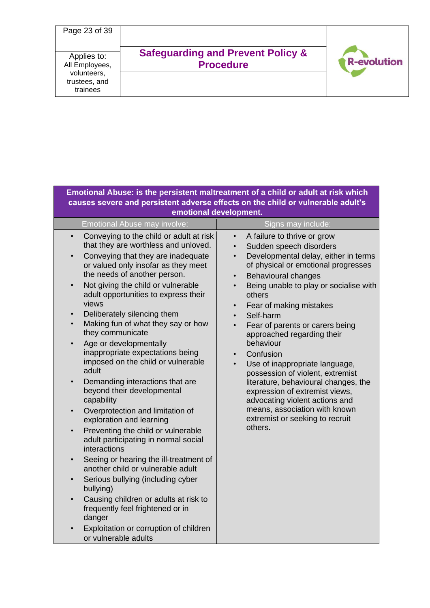

| Emotional Abuse: is the persistent maltreatment of a child or adult at risk which<br>causes severe and persistent adverse effects on the child or vulnerable adult's<br>emotional development.                                                                                                                                                                                                                                                                                                                                                                                                                                                                                                                                                                                                                                                                                                                                                                                                                                                                                                                                                                                               |                                                                                                                                                                                                                                                                                                                                                                                                                                                                                                                                                                                                                                                                                                                                     |  |  |  |
|----------------------------------------------------------------------------------------------------------------------------------------------------------------------------------------------------------------------------------------------------------------------------------------------------------------------------------------------------------------------------------------------------------------------------------------------------------------------------------------------------------------------------------------------------------------------------------------------------------------------------------------------------------------------------------------------------------------------------------------------------------------------------------------------------------------------------------------------------------------------------------------------------------------------------------------------------------------------------------------------------------------------------------------------------------------------------------------------------------------------------------------------------------------------------------------------|-------------------------------------------------------------------------------------------------------------------------------------------------------------------------------------------------------------------------------------------------------------------------------------------------------------------------------------------------------------------------------------------------------------------------------------------------------------------------------------------------------------------------------------------------------------------------------------------------------------------------------------------------------------------------------------------------------------------------------------|--|--|--|
| Emotional Abuse may involve:                                                                                                                                                                                                                                                                                                                                                                                                                                                                                                                                                                                                                                                                                                                                                                                                                                                                                                                                                                                                                                                                                                                                                                 | Signs may include:                                                                                                                                                                                                                                                                                                                                                                                                                                                                                                                                                                                                                                                                                                                  |  |  |  |
| Conveying to the child or adult at risk<br>$\bullet$<br>that they are worthless and unloved.<br>Conveying that they are inadequate<br>$\bullet$<br>or valued only insofar as they meet<br>the needs of another person.<br>Not giving the child or vulnerable<br>$\bullet$<br>adult opportunities to express their<br>views<br>Deliberately silencing them<br>$\bullet$<br>Making fun of what they say or how<br>$\bullet$<br>they communicate<br>Age or developmentally<br>$\bullet$<br>inappropriate expectations being<br>imposed on the child or vulnerable<br>adult<br>Demanding interactions that are<br>$\bullet$<br>beyond their developmental<br>capability<br>Overprotection and limitation of<br>$\bullet$<br>exploration and learning<br>Preventing the child or vulnerable<br>$\bullet$<br>adult participating in normal social<br>interactions<br>Seeing or hearing the ill-treatment of<br>$\bullet$<br>another child or vulnerable adult<br>Serious bullying (including cyber<br>$\bullet$<br>bullying)<br>Causing children or adults at risk to<br>$\bullet$<br>frequently feel frightened or in<br>danger<br>Exploitation or corruption of children<br>or vulnerable adults | A failure to thrive or grow<br>$\bullet$<br>Sudden speech disorders<br>$\bullet$<br>Developmental delay, either in terms<br>$\bullet$<br>of physical or emotional progresses<br><b>Behavioural changes</b><br>$\bullet$<br>Being unable to play or socialise with<br>$\bullet$<br>others<br>Fear of making mistakes<br>$\bullet$<br>Self-harm<br>$\bullet$<br>Fear of parents or carers being<br>approached regarding their<br>behaviour<br>Confusion<br>$\bullet$<br>Use of inappropriate language,<br>possession of violent, extremist<br>literature, behavioural changes, the<br>expression of extremist views,<br>advocating violent actions and<br>means, association with known<br>extremist or seeking to recruit<br>others. |  |  |  |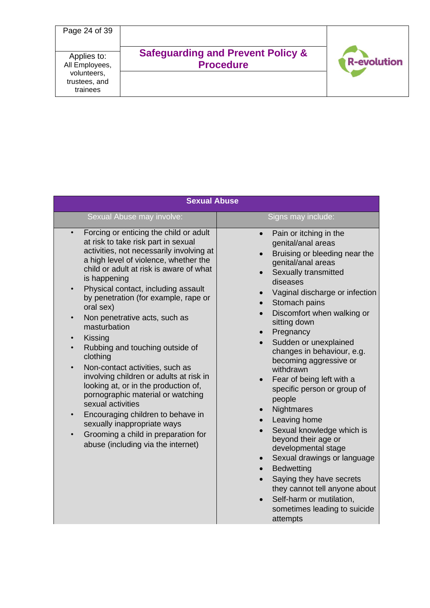

| <b>Sexual Abuse</b>                                                                                                                                                                                                                                                                                                                                                                                                                                                                                                                                                                                                                                                                                                                                                                                                                    |                                                                                                                                                                                                                                                                                                                                                                                                                                                                                                                                                                                                                                                                                                                                                                    |  |  |
|----------------------------------------------------------------------------------------------------------------------------------------------------------------------------------------------------------------------------------------------------------------------------------------------------------------------------------------------------------------------------------------------------------------------------------------------------------------------------------------------------------------------------------------------------------------------------------------------------------------------------------------------------------------------------------------------------------------------------------------------------------------------------------------------------------------------------------------|--------------------------------------------------------------------------------------------------------------------------------------------------------------------------------------------------------------------------------------------------------------------------------------------------------------------------------------------------------------------------------------------------------------------------------------------------------------------------------------------------------------------------------------------------------------------------------------------------------------------------------------------------------------------------------------------------------------------------------------------------------------------|--|--|
| Sexual Abuse may involve:                                                                                                                                                                                                                                                                                                                                                                                                                                                                                                                                                                                                                                                                                                                                                                                                              | Signs may include:                                                                                                                                                                                                                                                                                                                                                                                                                                                                                                                                                                                                                                                                                                                                                 |  |  |
| Forcing or enticing the child or adult<br>at risk to take risk part in sexual<br>activities, not necessarily involving at<br>a high level of violence, whether the<br>child or adult at risk is aware of what<br>is happening<br>Physical contact, including assault<br>$\bullet$<br>by penetration (for example, rape or<br>oral sex)<br>Non penetrative acts, such as<br>masturbation<br>Kissing<br>$\bullet$<br>Rubbing and touching outside of<br>clothing<br>Non-contact activities, such as<br>$\bullet$<br>involving children or adults at risk in<br>looking at, or in the production of,<br>pornographic material or watching<br>sexual activities<br>Encouraging children to behave in<br>$\bullet$<br>sexually inappropriate ways<br>Grooming a child in preparation for<br>$\bullet$<br>abuse (including via the internet) | Pain or itching in the<br>$\bullet$<br>genital/anal areas<br>Bruising or bleeding near the<br>$\bullet$<br>genital/anal areas<br>Sexually transmitted<br>diseases<br>Vaginal discharge or infection<br>Stomach pains<br>Discomfort when walking or<br>sitting down<br>Pregnancy<br>Sudden or unexplained<br>changes in behaviour, e.g.<br>becoming aggressive or<br>withdrawn<br>Fear of being left with a<br>specific person or group of<br>people<br>Nightmares<br>Leaving home<br>Sexual knowledge which is<br>beyond their age or<br>developmental stage<br>Sexual drawings or language<br>$\bullet$<br><b>Bedwetting</b><br>Saying they have secrets<br>they cannot tell anyone about<br>Self-harm or mutilation,<br>sometimes leading to suicide<br>attempts |  |  |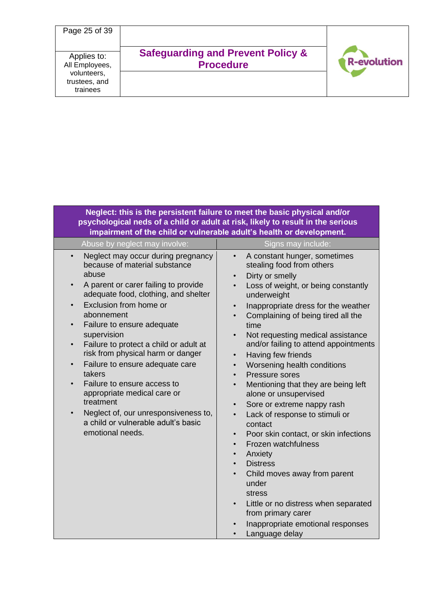

|                                                                                                                                                                                                                                                                                                                                                                                                                                                                                                                                                                                                                                                                     | Neglect: this is the persistent failure to meet the basic physical and/or<br>psychological neds of a child or adult at risk, likely to result in the serious<br>impairment of the child or vulnerable adult's health or development.                                                                                                                                                                                                                                                                                                                                                                                                                                                                                                                                                                                                                                                                                            |
|---------------------------------------------------------------------------------------------------------------------------------------------------------------------------------------------------------------------------------------------------------------------------------------------------------------------------------------------------------------------------------------------------------------------------------------------------------------------------------------------------------------------------------------------------------------------------------------------------------------------------------------------------------------------|---------------------------------------------------------------------------------------------------------------------------------------------------------------------------------------------------------------------------------------------------------------------------------------------------------------------------------------------------------------------------------------------------------------------------------------------------------------------------------------------------------------------------------------------------------------------------------------------------------------------------------------------------------------------------------------------------------------------------------------------------------------------------------------------------------------------------------------------------------------------------------------------------------------------------------|
| Abuse by neglect may involve:                                                                                                                                                                                                                                                                                                                                                                                                                                                                                                                                                                                                                                       | Signs may include:                                                                                                                                                                                                                                                                                                                                                                                                                                                                                                                                                                                                                                                                                                                                                                                                                                                                                                              |
| Neglect may occur during pregnancy<br>$\bullet$<br>because of material substance<br>abuse<br>A parent or carer failing to provide<br>$\bullet$<br>adequate food, clothing, and shelter<br>Exclusion from home or<br>$\bullet$<br>abonnement<br>Failure to ensure adequate<br>$\bullet$<br>supervision<br>Failure to protect a child or adult at<br>$\bullet$<br>risk from physical harm or danger<br>Failure to ensure adequate care<br>$\bullet$<br>takers<br>Failure to ensure access to<br>$\bullet$<br>appropriate medical care or<br>treatment<br>Neglect of, our unresponsiveness to,<br>$\bullet$<br>a child or vulnerable adult's basic<br>emotional needs. | A constant hunger, sometimes<br>stealing food from others<br>Dirty or smelly<br>Loss of weight, or being constantly<br>underweight<br>Inappropriate dress for the weather<br>$\bullet$<br>Complaining of being tired all the<br>time<br>Not requesting medical assistance<br>and/or failing to attend appointments<br>Having few friends<br>$\bullet$<br>Worsening health conditions<br>$\bullet$<br>Pressure sores<br>Mentioning that they are being left<br>alone or unsupervised<br>Sore or extreme nappy rash<br>$\bullet$<br>Lack of response to stimuli or<br>$\bullet$<br>contact<br>Poor skin contact, or skin infections<br>$\bullet$<br>Frozen watchfulness<br>$\bullet$<br>Anxiety<br>$\bullet$<br><b>Distress</b><br>$\bullet$<br>Child moves away from parent<br>$\bullet$<br>under<br>stress<br>Little or no distress when separated<br>from primary carer<br>Inappropriate emotional responses<br>Language delay |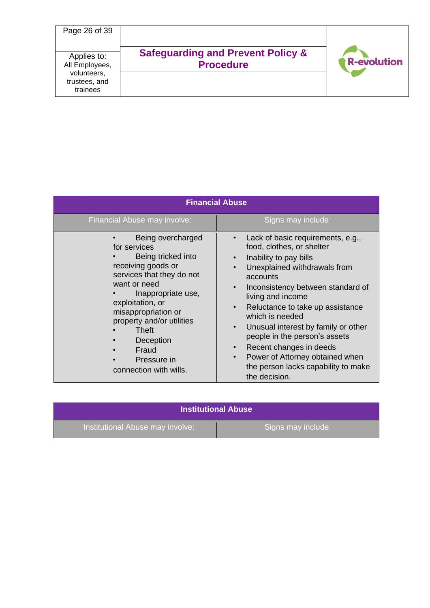

| <b>Financial Abuse</b>                                                                                                                                                                                                                                                                           |                                                                                                                                                                                                                                                                                                                                                                                                                                                                                                                                   |  |  |  |
|--------------------------------------------------------------------------------------------------------------------------------------------------------------------------------------------------------------------------------------------------------------------------------------------------|-----------------------------------------------------------------------------------------------------------------------------------------------------------------------------------------------------------------------------------------------------------------------------------------------------------------------------------------------------------------------------------------------------------------------------------------------------------------------------------------------------------------------------------|--|--|--|
| Financial Abuse may involve:                                                                                                                                                                                                                                                                     | Signs may include:                                                                                                                                                                                                                                                                                                                                                                                                                                                                                                                |  |  |  |
| Being overcharged<br>for services<br>Being tricked into<br>receiving goods or<br>services that they do not<br>want or need<br>Inappropriate use,<br>exploitation, or<br>misappropriation or<br>property and/or utilities<br>Theft<br>Deception<br>Fraud<br>Pressure in<br>connection with wills. | Lack of basic requirements, e.g.,<br>food, clothes, or shelter<br>Inability to pay bills<br>Unexplained withdrawals from<br>$\bullet$<br>accounts<br>Inconsistency between standard of<br>$\bullet$<br>living and income<br>Reluctance to take up assistance<br>$\bullet$<br>which is needed<br>Unusual interest by family or other<br>$\bullet$<br>people in the person's assets<br>Recent changes in deeds<br>$\bullet$<br>Power of Attorney obtained when<br>$\bullet$<br>the person lacks capability to make<br>the decision. |  |  |  |

| <b>Institutional Abuse</b>       |                    |  |  |
|----------------------------------|--------------------|--|--|
| Institutional Abuse may involve: | Signs may include: |  |  |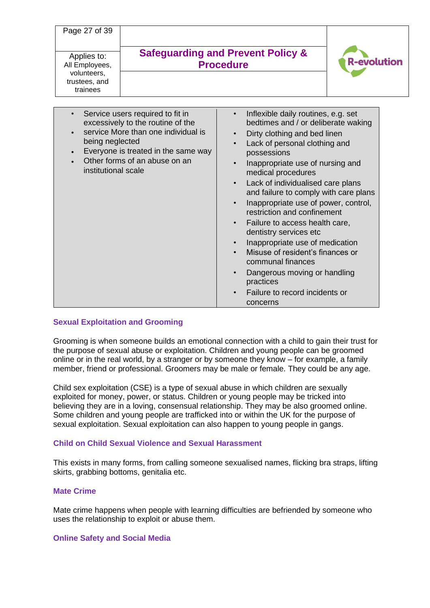Page 27 of 39

Applies to: All Employees, volunteers, trustees, and trainees

# **Safeguarding and Prevent Policy & Procedure**



| Service users required to fit in<br>excessively to the routine of the<br>service More than one individual is<br>being neglected<br>Everyone is treated in the same way<br>Other forms of an abuse on an<br>institutional scale | Inflexible daily routines, e.g. set<br>bedtimes and / or deliberate waking<br>Dirty clothing and bed linen<br>$\bullet$<br>Lack of personal clothing and<br>$\bullet$<br>possessions<br>Inappropriate use of nursing and<br>medical procedures<br>Lack of individualised care plans<br>$\bullet$<br>and failure to comply with care plans<br>Inappropriate use of power, control,<br>$\bullet$<br>restriction and confinement<br>Failure to access health care,<br>$\bullet$<br>dentistry services etc<br>Inappropriate use of medication<br>$\bullet$<br>Misuse of resident's finances or<br>communal finances<br>Dangerous moving or handling<br>$\bullet$<br>practices<br>Failure to record incidents or<br>$\bullet$<br>concerns |
|--------------------------------------------------------------------------------------------------------------------------------------------------------------------------------------------------------------------------------|--------------------------------------------------------------------------------------------------------------------------------------------------------------------------------------------------------------------------------------------------------------------------------------------------------------------------------------------------------------------------------------------------------------------------------------------------------------------------------------------------------------------------------------------------------------------------------------------------------------------------------------------------------------------------------------------------------------------------------------|

## **Sexual Exploitation and Grooming**

Grooming is when someone builds an emotional connection with a child to gain their trust for the purpose of sexual abuse or exploitation. Children and young people can be groomed online or in the real world, by a stranger or by someone they know – for example, a family member, friend or professional. Groomers may be male or female. They could be any age.

Child sex exploitation (CSE) is a type of sexual abuse in which children are sexually exploited for money, power, or status. Children or young people may be tricked into believing they are in a loving, consensual relationship. They may be also groomed online. Some children and young people are trafficked into or within the UK for the purpose of sexual exploitation. Sexual exploitation can also happen to young people in gangs.

## **Child on Child Sexual Violence and Sexual Harassment**

This exists in many forms, from calling someone sexualised names, flicking bra straps, lifting skirts, grabbing bottoms, genitalia etc.

## **Mate Crime**

Mate crime happens when people with learning difficulties are befriended by someone who uses the relationship to exploit or abuse them.

### **Online Safety and Social Media**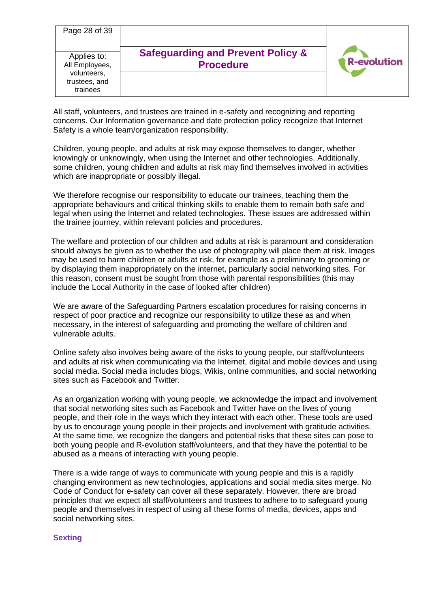| Page 28 of 39                                                             |                                                                  |                    |
|---------------------------------------------------------------------------|------------------------------------------------------------------|--------------------|
| Applies to:<br>All Employees,<br>volunteers,<br>trustees, and<br>trainees | <b>Safeguarding and Prevent Policy &amp;</b><br><b>Procedure</b> | <b>R-evolution</b> |

All staff, volunteers, and trustees are trained in e-safety and recognizing and reporting concerns. Our Information governance and date protection policy recognize that Internet Safety is a whole team/organization responsibility.

Children, young people, and adults at risk may expose themselves to danger, whether knowingly or unknowingly, when using the Internet and other technologies. Additionally, some children, young children and adults at risk may find themselves involved in activities which are inappropriate or possibly illegal.

We therefore recognise our responsibility to educate our trainees, teaching them the appropriate behaviours and critical thinking skills to enable them to remain both safe and legal when using the Internet and related technologies. These issues are addressed within the trainee journey, within relevant policies and procedures.

The welfare and protection of our children and adults at risk is paramount and consideration should always be given as to whether the use of photography will place them at risk. Images may be used to harm children or adults at risk, for example as a preliminary to grooming or by displaying them inappropriately on the internet, particularly social networking sites. For this reason, consent must be sought from those with parental responsibilities (this may include the Local Authority in the case of looked after children)

We are aware of the Safeguarding Partners escalation procedures for raising concerns in respect of poor practice and recognize our responsibility to utilize these as and when necessary, in the interest of safeguarding and promoting the welfare of children and vulnerable adults.

Online safety also involves being aware of the risks to young people, our staff/volunteers and adults at risk when communicating via the Internet, digital and mobile devices and using social media. Social media includes blogs, Wikis, online communities, and social networking sites such as Facebook and Twitter.

As an organization working with young people, we acknowledge the impact and involvement that social networking sites such as Facebook and Twitter have on the lives of young people, and their role in the ways which they interact with each other. These tools are used by us to encourage young people in their projects and involvement with gratitude activities. At the same time, we recognize the dangers and potential risks that these sites can pose to both young people and R-evolution staff/volunteers, and that they have the potential to be abused as a means of interacting with young people.

There is a wide range of ways to communicate with young people and this is a rapidly changing environment as new technologies, applications and social media sites merge. No Code of Conduct for e-safety can cover all these separately. However, there are broad principles that we expect all staff/volunteers and trustees to adhere to to safeguard young people and themselves in respect of using all these forms of media, devices, apps and social networking sites.

## **Sexting**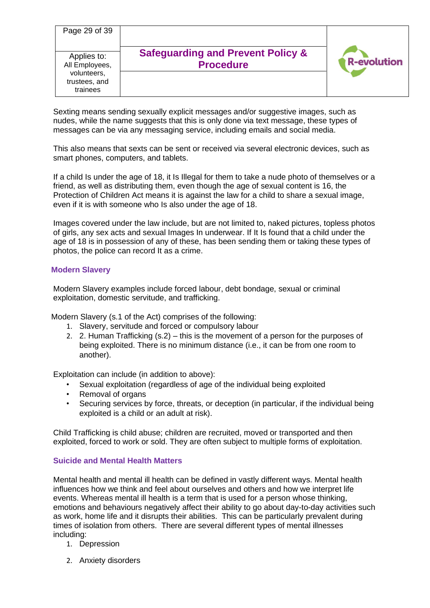| Page 29 of 39                                                             |                                                                  |                    |
|---------------------------------------------------------------------------|------------------------------------------------------------------|--------------------|
| Applies to:<br>All Employees,<br>volunteers,<br>trustees, and<br>trainees | <b>Safeguarding and Prevent Policy &amp;</b><br><b>Procedure</b> | <b>R-evolution</b> |

Sexting means sending sexually explicit messages and/or suggestive images, such as nudes, while the name suggests that this is only done via text message, these types of messages can be via any messaging service, including emails and social media.

This also means that sexts can be sent or received via several electronic devices, such as smart phones, computers, and tablets.

If a child Is under the age of 18, it Is Illegal for them to take a nude photo of themselves or a friend, as well as distributing them, even though the age of sexual content is 16, the Protection of Children Act means it is against the law for a child to share a sexual image, even if it is with someone who Is also under the age of 18.

Images covered under the law include, but are not limited to, naked pictures, topless photos of girls, any sex acts and sexual Images In underwear. If It Is found that a child under the age of 18 is in possession of any of these, has been sending them or taking these types of photos, the police can record It as a crime.

### **Modern Slavery**

Modern Slavery examples include forced labour, debt bondage, sexual or criminal exploitation, domestic servitude, and trafficking.

Modern Slavery (s.1 of the Act) comprises of the following:

- 1. Slavery, servitude and forced or compulsory labour
- 2. 2. Human Trafficking (s.2) this is the movement of a person for the purposes of being exploited. There is no minimum distance (i.e., it can be from one room to another).

Exploitation can include (in addition to above):

- Sexual exploitation (regardless of age of the individual being exploited
- Removal of organs
- Securing services by force, threats, or deception (in particular, if the individual being exploited is a child or an adult at risk).

Child Trafficking is child abuse; children are recruited, moved or transported and then exploited, forced to work or sold. They are often subject to multiple forms of exploitation.

### **Suicide and Mental Health Matters**

Mental health and mental ill health can be defined in vastly different ways. Mental health influences how we think and feel about ourselves and others and how we interpret life events. Whereas mental ill health is a term that is used for a person whose thinking, emotions and behaviours negatively affect their ability to go about day-to-day activities such as work, home life and it disrupts their abilities. This can be particularly prevalent during times of isolation from others. There are several different types of mental illnesses including:

- 1. Depression
- 2. Anxiety disorders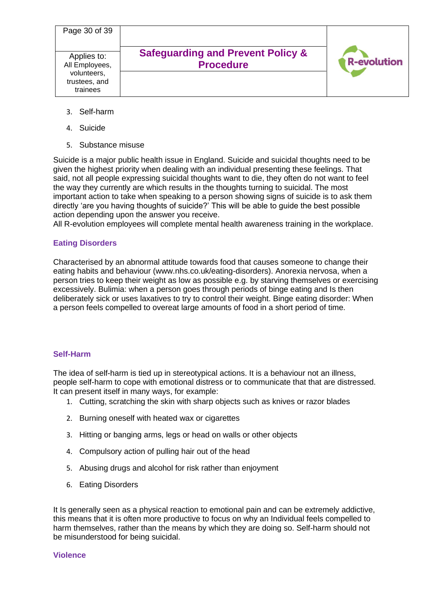| Page 30 of 39                                                             |                                                                  |                    |
|---------------------------------------------------------------------------|------------------------------------------------------------------|--------------------|
| Applies to:<br>All Employees,<br>volunteers,<br>trustees, and<br>trainees | <b>Safeguarding and Prevent Policy &amp;</b><br><b>Procedure</b> | <b>R-evolution</b> |

- 3. Self-harm
- 4. Suicide
- 5. Substance misuse

Suicide is a major public health issue in England. Suicide and suicidal thoughts need to be given the highest priority when dealing with an individual presenting these feelings. That said, not all people expressing suicidal thoughts want to die, they often do not want to feel the way they currently are which results in the thoughts turning to suicidal. The most important action to take when speaking to a person showing signs of suicide is to ask them directly 'are you having thoughts of suicide?' This will be able to guide the best possible action depending upon the answer you receive.

All R-evolution employees will complete mental health awareness training in the workplace.

## **Eating Disorders**

Characterised by an abnormal attitude towards food that causes someone to change their eating habits and behaviour (www.nhs.co.uk/eating-disorders). Anorexia nervosa, when a person tries to keep their weight as low as possible e.g. by starving themselves or exercising excessively. Bulimia: when a person goes through periods of binge eating and Is then deliberately sick or uses laxatives to try to control their weight. Binge eating disorder: When a person feels compelled to overeat large amounts of food in a short period of time.

## **Self-Harm**

The idea of self-harm is tied up in stereotypical actions. It is a behaviour not an illness, people self-harm to cope with emotional distress or to communicate that that are distressed. It can present itself in many ways, for example:

- 1. Cutting, scratching the skin with sharp objects such as knives or razor blades
- 2. Burning oneself with heated wax or cigarettes
- 3. Hitting or banging arms, legs or head on walls or other objects
- 4. Compulsory action of pulling hair out of the head
- 5. Abusing drugs and alcohol for risk rather than enjoyment
- 6. Eating Disorders

It Is generally seen as a physical reaction to emotional pain and can be extremely addictive, this means that it is often more productive to focus on why an Individual feels compelled to harm themselves, rather than the means by which they are doing so. Self-harm should not be misunderstood for being suicidal.

### **Violence**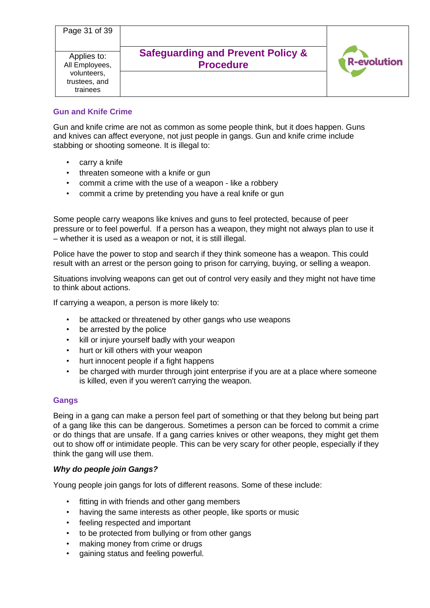| Page 31 of 39                                                             |                                                                  |                    |
|---------------------------------------------------------------------------|------------------------------------------------------------------|--------------------|
| Applies to:<br>All Employees,<br>volunteers,<br>trustees, and<br>trainees | <b>Safeguarding and Prevent Policy &amp;</b><br><b>Procedure</b> | <b>R-evolution</b> |

# **Gun and Knife Crime**

Gun and knife crime are not as common as some people think, but it does happen. Guns and knives can affect everyone, not just people in gangs. Gun and knife crime include stabbing or shooting someone. It is illegal to:

- carry a knife
- threaten someone with a knife or gun
- commit a crime with the use of a weapon like a robbery
- commit a crime by pretending you have a real knife or gun

Some people carry weapons like knives and guns to feel protected, because of peer pressure or to feel powerful. If a person has a weapon, they might not always plan to use it – whether it is used as a weapon or not, it is still illegal.

Police have the power to stop and search if they think someone has a weapon. This could result with an arrest or the person going to prison for carrying, buying, or selling a weapon.

Situations involving weapons can get out of control very easily and they might not have time to think about actions.

If carrying a weapon, a person is more likely to:

- be attacked or threatened by other gangs who use weapons
- be arrested by the police
- kill or injure yourself badly with your weapon
- hurt or kill others with your weapon
- hurt innocent people if a fight happens
- be charged with murder through joint enterprise if you are at a place where someone is killed, even if you weren't carrying the weapon.

# **Gangs**

Being in a gang can make a person feel part of something or that they belong but being part of a gang like this can be dangerous. Sometimes a person can be forced to commit a crime or do things that are unsafe. If a gang carries knives or other weapons, they might get them out to show off or intimidate people. This can be very scary for other people, especially if they think the gang will use them.

## *Why do people join Gangs?*

Young people join gangs for lots of different reasons. Some of these include:

- fitting in with friends and other gang members
- having the same interests as other people, like sports or music
- feeling respected and important
- to be protected from bullying or from other gangs
- making money from crime or drugs
- gaining status and feeling powerful.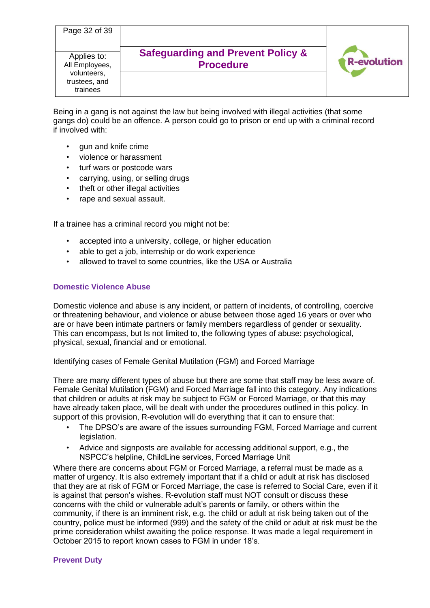| Page 32 of 39                                                             |                                                                  |                    |
|---------------------------------------------------------------------------|------------------------------------------------------------------|--------------------|
| Applies to:<br>All Employees,<br>volunteers,<br>trustees, and<br>trainees | <b>Safeguarding and Prevent Policy &amp;</b><br><b>Procedure</b> | <b>R-evolution</b> |

Being in a gang is not against the law but being involved with illegal activities (that some gangs do) could be an offence. A person could go to prison or end up with a criminal record if involved with:

- gun and knife crime
- violence or harassment
- turf wars or postcode wars
- carrying, using, or selling drugs
- theft or other illegal activities
- rape and sexual assault.

If a trainee has a criminal record you might not be:

- accepted into a university, college, or higher education
- able to get a job, internship or do work experience
- allowed to travel to some countries, like the USA or Australia

### **Domestic Violence Abuse**

Domestic violence and abuse is any incident, or pattern of incidents, of controlling, coercive or threatening behaviour, and violence or abuse between those aged 16 years or over who are or have been intimate partners or family members regardless of gender or sexuality. This can encompass, but Is not limited to, the following types of abuse: psychological, physical, sexual, financial and or emotional.

Identifying cases of Female Genital Mutilation (FGM) and Forced Marriage

There are many different types of abuse but there are some that staff may be less aware of. Female Genital Mutilation (FGM) and Forced Marriage fall into this category. Any indications that children or adults at risk may be subject to FGM or Forced Marriage, or that this may have already taken place, will be dealt with under the procedures outlined in this policy. In support of this provision, R-evolution will do everything that it can to ensure that:

- The DPSO's are aware of the issues surrounding FGM, Forced Marriage and current legislation.
- Advice and signposts are available for accessing additional support, e.g., the NSPCC's helpline, ChildLine services, Forced Marriage Unit

Where there are concerns about FGM or Forced Marriage, a referral must be made as a matter of urgency. It is also extremely important that if a child or adult at risk has disclosed that they are at risk of FGM or Forced Marriage, the case is referred to Social Care, even if it is against that person's wishes. R-evolution staff must NOT consult or discuss these concerns with the child or vulnerable adult's parents or family, or others within the community, if there is an imminent risk, e.g. the child or adult at risk being taken out of the country, police must be informed (999) and the safety of the child or adult at risk must be the prime consideration whilst awaiting the police response. It was made a legal requirement in October 2015 to report known cases to FGM in under 18's.

### **Prevent Duty**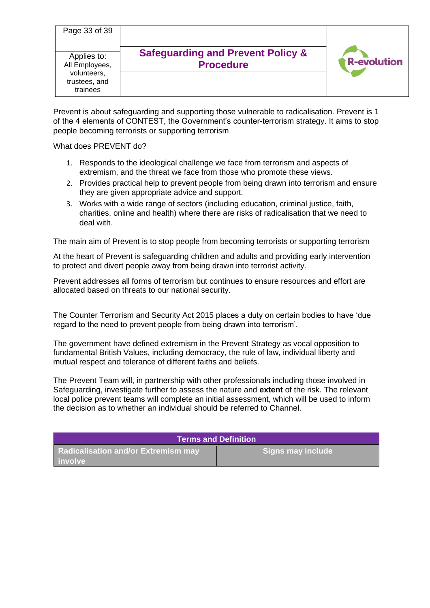| Page 33 of 39                                                             |                                                                  |                    |
|---------------------------------------------------------------------------|------------------------------------------------------------------|--------------------|
| Applies to:<br>All Employees,<br>volunteers,<br>trustees, and<br>trainees | <b>Safeguarding and Prevent Policy &amp;</b><br><b>Procedure</b> | <b>R-evolution</b> |

Prevent is about safeguarding and supporting those vulnerable to radicalisation. Prevent is 1 of the 4 elements of CONTEST, the Government's counter-terrorism strategy. It aims to stop people becoming terrorists or supporting terrorism

What does PREVENT do?

- 1. Responds to the ideological challenge we face from terrorism and aspects of extremism, and the threat we face from those who promote these views.
- 2. Provides practical help to prevent people from being drawn into terrorism and ensure they are given appropriate advice and support.
- 3. Works with a wide range of sectors (including education, criminal justice, faith, charities, online and health) where there are risks of radicalisation that we need to deal with.

The main aim of Prevent is to stop people from becoming terrorists or supporting terrorism

At the heart of Prevent is safeguarding children and adults and providing early intervention to protect and divert people away from being drawn into terrorist activity.

Prevent addresses all forms of terrorism but continues to ensure resources and effort are allocated based on threats to our national security.

The Counter Terrorism and Security Act 2015 places a duty on certain bodies to have 'due regard to the need to prevent people from being drawn into terrorism'.

The government have defined extremism in the Prevent Strategy as vocal opposition to fundamental British Values, including democracy, the rule of law, individual liberty and mutual respect and tolerance of different faiths and beliefs.

The Prevent Team will, in partnership with other professionals including those involved in Safeguarding, investigate further to assess the nature and **extent** of the risk. The relevant local police prevent teams will complete an initial assessment, which will be used to inform the decision as to whether an individual should be referred to Channel.

|                                                           | <b>Terms and Definition</b> |
|-----------------------------------------------------------|-----------------------------|
| <b>Radicalisation and/or Extremism may</b><br>l  involve' | Signs may include           |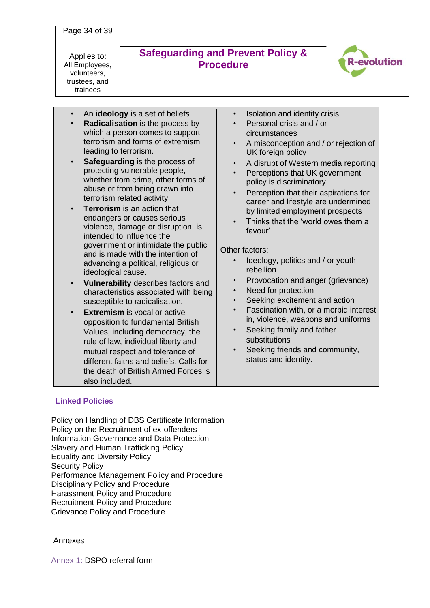Page 34 of 39

Applies to: All Employees, volunteers, trustees, and trainees

# **Safeguarding and Prevent Policy & Procedure**



- An **ideology** is a set of beliefs
- **Radicalisation** is the process by which a person comes to support terrorism and forms of extremism leading to terrorism.
- **Safeguarding** is the process of protecting vulnerable people, whether from crime, other forms of abuse or from being drawn into terrorism related activity.
- **Terrorism** is an action that endangers or causes serious violence, damage or disruption, is intended to influence the government or intimidate the public and is made with the intention of advancing a political, religious or ideological cause.
- **Vulnerability** describes factors and characteristics associated with being susceptible to radicalisation.
- **Extremism** is vocal or active opposition to fundamental British Values, including democracy, the rule of law, individual liberty and mutual respect and tolerance of different faiths and beliefs. Calls for the death of British Armed Forces is also included.
- Isolation and identity crisis
- Personal crisis and / or circumstances
- A misconception and / or rejection of UK foreign policy
- A disrupt of Western media reporting
- Perceptions that UK government policy is discriminatory
- Perception that their aspirations for career and lifestyle are undermined by limited employment prospects
- Thinks that the 'world owes them a favour'

# Other factors:

- Ideology, politics and / or youth rebellion
- Provocation and anger (grievance)
- Need for protection
- Seeking excitement and action
- Fascination with, or a morbid interest in, violence, weapons and uniforms
- Seeking family and father substitutions
- Seeking friends and community, status and identity.

# **Linked Policies**

Policy on Handling of DBS Certificate Information Policy on the Recruitment of ex-offenders Information Governance and Data Protection Slavery and Human Trafficking Policy Equality and Diversity Policy Security Policy Performance Management Policy and Procedure Disciplinary Policy and Procedure Harassment Policy and Procedure Recruitment Policy and Procedure Grievance Policy and Procedure

## Annexes

Annex 1: DSPO referral form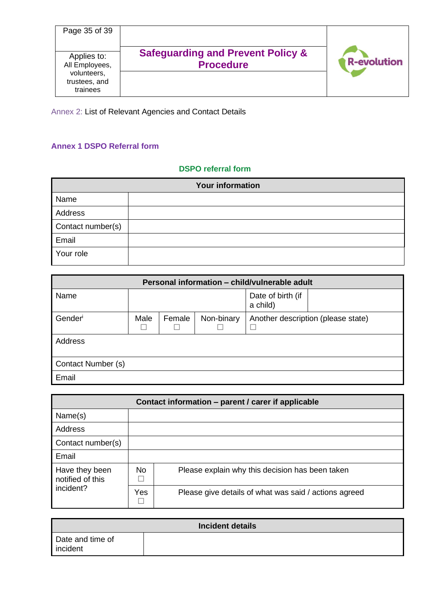| Page 35 of 39                                                             |                                                                  |                    |
|---------------------------------------------------------------------------|------------------------------------------------------------------|--------------------|
| Applies to:<br>All Employees,<br>volunteers,<br>trustees, and<br>trainees | <b>Safeguarding and Prevent Policy &amp;</b><br><b>Procedure</b> | <b>R-evolution</b> |

Annex 2: List of Relevant Agencies and Contact Details

# **Annex 1 DSPO Referral form**

# **DSPO referral form**

| <b>Your information</b> |  |  |
|-------------------------|--|--|
| Name                    |  |  |
| Address                 |  |  |
| Contact number(s)       |  |  |
| Email                   |  |  |
| Your role               |  |  |

| Personal information - child/vulnerable adult |      |        |            |                               |                                    |
|-----------------------------------------------|------|--------|------------|-------------------------------|------------------------------------|
| Name                                          |      |        |            | Date of birth (if<br>a child) |                                    |
| Gender                                        | Male | Female | Non-binary |                               | Another description (please state) |
| Address                                       |      |        |            |                               |                                    |
| Contact Number (s)                            |      |        |            |                               |                                    |
| Email                                         |      |        |            |                               |                                    |

| Contact information - parent / carer if applicable |           |                                                       |  |  |
|----------------------------------------------------|-----------|-------------------------------------------------------|--|--|
| Name(s)                                            |           |                                                       |  |  |
| Address                                            |           |                                                       |  |  |
| Contact number(s)                                  |           |                                                       |  |  |
| Email                                              |           |                                                       |  |  |
| Have they been<br>notified of this<br>incident?    | <b>No</b> | Please explain why this decision has been taken       |  |  |
|                                                    | Yes       | Please give details of what was said / actions agreed |  |  |

|                              | <b>Incident details</b> |
|------------------------------|-------------------------|
| Date and time of<br>incident |                         |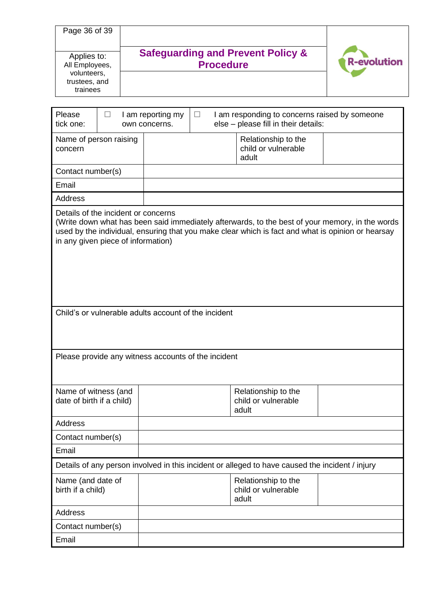| Page 36 of 39<br>Applies to:<br>All Employees,<br>volunteers,<br>trustees, and<br>trainees | <b>Safeguarding and Prevent Policy &amp;</b><br><b>Procedure</b> |                                    | <b>R-evolution</b> |                                                                                     |  |
|--------------------------------------------------------------------------------------------|------------------------------------------------------------------|------------------------------------|--------------------|-------------------------------------------------------------------------------------|--|
| Please<br>tick one:                                                                        |                                                                  | I am reporting my<br>own concerns. |                    | am responding to concerns raised by someone<br>else - please fill in their details: |  |
| Name of nerson rajsing                                                                     |                                                                  |                                    |                    | Ralationship to the                                                                 |  |

| Name of person raising<br>concern                                         | Relationship to the<br>child or vulnerable<br>adult                                                                                                                                                  |
|---------------------------------------------------------------------------|------------------------------------------------------------------------------------------------------------------------------------------------------------------------------------------------------|
| Contact number(s)                                                         |                                                                                                                                                                                                      |
| Email                                                                     |                                                                                                                                                                                                      |
| <b>Address</b>                                                            |                                                                                                                                                                                                      |
| Details of the incident or concerns<br>in any given piece of information) | (Write down what has been said immediately afterwards, to the best of your memory, in the words<br>used by the individual, ensuring that you make clear which is fact and what is opinion or hearsay |
|                                                                           | Child's or vulnerable adults account of the incident                                                                                                                                                 |
|                                                                           | Please provide any witness accounts of the incident                                                                                                                                                  |
| Name of witness (and<br>date of birth if a child)                         | Relationship to the<br>child or vulnerable<br>adult                                                                                                                                                  |
| <b>Address</b>                                                            |                                                                                                                                                                                                      |
| Contact number(s)                                                         |                                                                                                                                                                                                      |
| Email                                                                     |                                                                                                                                                                                                      |
|                                                                           | Details of any person involved in this incident or alleged to have caused the incident / injury                                                                                                      |
| Name (and date of<br>birth if a child)                                    | Relationship to the<br>child or vulnerable<br>adult                                                                                                                                                  |
| <b>Address</b>                                                            |                                                                                                                                                                                                      |
| Contact number(s)                                                         |                                                                                                                                                                                                      |

Email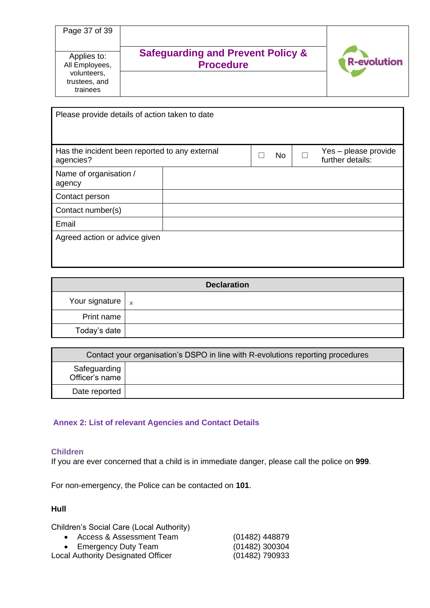| Page 37 of 39                                                             |                                                                  |                    |
|---------------------------------------------------------------------------|------------------------------------------------------------------|--------------------|
| Applies to:<br>All Employees,<br>volunteers,<br>trustees, and<br>trainees | <b>Safeguarding and Prevent Policy &amp;</b><br><b>Procedure</b> | <b>R-evolution</b> |

| Please provide details of action taken to date              |  |  |           |                                          |
|-------------------------------------------------------------|--|--|-----------|------------------------------------------|
|                                                             |  |  |           |                                          |
| Has the incident been reported to any external<br>agencies? |  |  | <b>No</b> | Yes - please provide<br>further details: |
| Name of organisation /<br>agency                            |  |  |           |                                          |
| Contact person                                              |  |  |           |                                          |
| Contact number(s)                                           |  |  |           |                                          |
| Email                                                       |  |  |           |                                          |
| Agreed action or advice given                               |  |  |           |                                          |
|                                                             |  |  |           |                                          |
|                                                             |  |  |           |                                          |

|                                | <b>Declaration</b> |
|--------------------------------|--------------------|
| Your signature $\vert x \vert$ |                    |
| Print name                     |                    |
| Today's date                   |                    |

| Contact your organisation's DSPO in line with R-evolutions reporting procedures |  |  |
|---------------------------------------------------------------------------------|--|--|
| Safeguarding<br>Officer's name                                                  |  |  |
| Date reported                                                                   |  |  |

## **Annex 2: List of relevant Agencies and Contact Details**

## **Children**

If you are ever concerned that a child is in immediate danger, please call the police on **999**.

For non-emergency, the Police can be contacted on **101**.

# **Hull**

Children's Social Care (Local Authority)

- Access & Assessment Team (01482) 448879<br>• Emergency Duty Team (01482) 300304 • Emergency Duty Team
- Local Authority Designated Officer (01482) 790933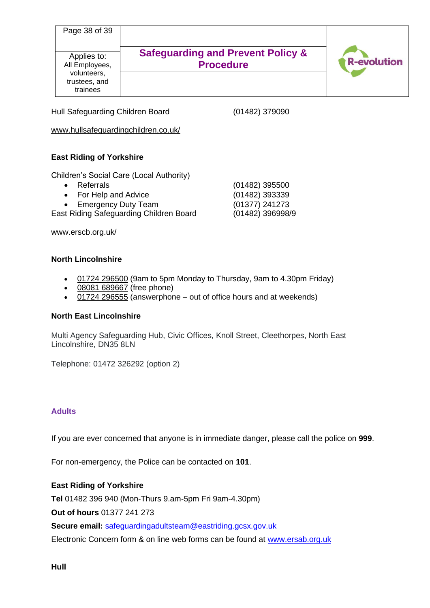| Page 38 of 39                                                             |                                                                  |                    |
|---------------------------------------------------------------------------|------------------------------------------------------------------|--------------------|
| Applies to:<br>All Employees,<br>volunteers,<br>trustees, and<br>trainees | <b>Safeguarding and Prevent Policy &amp;</b><br><b>Procedure</b> | <b>R-evolution</b> |

Hull Safeguarding Children Board (01482) 379090

www.hullsafeguardingchildren.co.uk/

# **East Riding of Yorkshire**

Children's Social Care (Local Authority)

- Referrals (01482) 395500
- For Help and Advice (01482) 393339
- Emergency Duty Team (01377) 241273

East Riding Safeguarding Children Board (01482) 396998/9

www.erscb.org.uk/

## **North Lincolnshire**

- [01724 296500](tel:01724296500) (9am to 5pm Monday to Thursday, 9am to 4.30pm Friday)
- [08081 689667](tel:08081%20689667) (free phone)
- $\overline{01724}$  296555 (answerphone out of office hours and at weekends)

## **North East Lincolnshire**

Multi Agency Safeguarding Hub, Civic Offices, Knoll Street, Cleethorpes, North East Lincolnshire, DN35 8LN

Telephone: 01472 326292 (option 2)

# **Adults**

If you are ever concerned that anyone is in immediate danger, please call the police on **999**.

For non-emergency, the Police can be contacted on **101**.

# **East Riding of Yorkshire**

**Tel** 01482 396 940 (Mon-Thurs 9.am-5pm Fri 9am-4.30pm)

**Out of hours** 01377 241 273

**Secure email:** [safeguardingadultsteam@eastriding.gcsx.gov.uk](mailto:safeguardingadultsteam@eastriding.gcsx.gov.uk)

Electronic Concern form & on line web forms can be found at [www.ersab.org.uk](http://www.ersab.org.uk/)